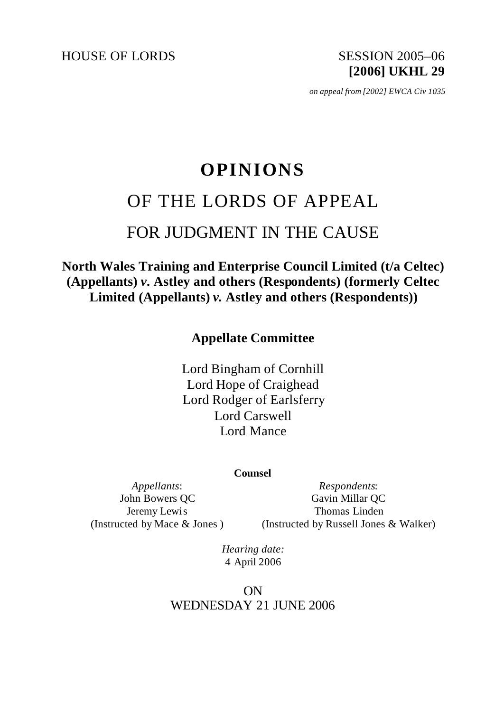HOUSE OF LORDS SESSION 2005–06

**[2006] UKHL 29**

*on appeal from [2002] EWCA Civ 1035* 

# **OPINIONS** OF THE LORDS OF APPEAL FOR JUDGMENT IN THE CAUSE

**North Wales Training and Enterprise Council Limited (t/a Celtec) (Appellants)** *v.* **Astley and others (Respondents) (formerly Celtec Limited (Appellants)** *v.* **Astley and others (Respondents))**

**Appellate Committee**

Lord Bingham of Cornhill Lord Hope of Craighead Lord Rodger of Earlsferry Lord Carswell Lord Mance

**Counsel**

*Appellants*: John Bowers QC Jeremy Lewis (Instructed by Mace & Jones )

*Respondents*: Gavin Millar QC Thomas Linden (Instructed by Russell Jones & Walker)

*Hearing date:* 4 April 2006

ON WEDNESDAY 21 JUNE 2006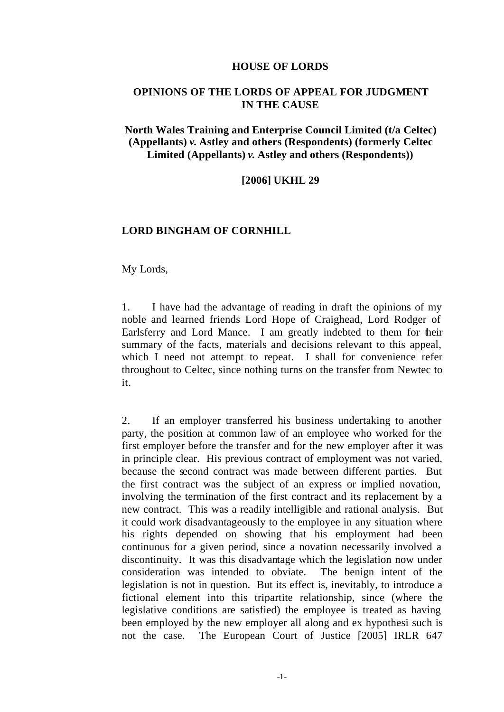#### **HOUSE OF LORDS**

## **OPINIONS OF THE LORDS OF APPEAL FOR JUDGMENT IN THE CAUSE**

## **North Wales Training and Enterprise Council Limited (t/a Celtec) (Appellants)** *v.* **Astley and others (Respondents) (formerly Celtec Limited (Appellants)** *v.* **Astley and others (Respondents))**

#### **[2006] UKHL 29**

#### **LORD BINGHAM OF CORNHILL**

My Lords,

1. I have had the advantage of reading in draft the opinions of my noble and learned friends Lord Hope of Craighead, Lord Rodger of Earlsferry and Lord Mance. I am greatly indebted to them for their summary of the facts, materials and decisions relevant to this appeal, which I need not attempt to repeat. I shall for convenience refer throughout to Celtec, since nothing turns on the transfer from Newtec to it.

2. If an employer transferred his business undertaking to another party, the position at common law of an employee who worked for the first employer before the transfer and for the new employer after it was in principle clear. His previous contract of employment was not varied, because the second contract was made between different parties. But the first contract was the subject of an express or implied novation, involving the termination of the first contract and its replacement by a new contract. This was a readily intelligible and rational analysis. But it could work disadvantageously to the employee in any situation where his rights depended on showing that his employment had been continuous for a given period, since a novation necessarily involved a discontinuity. It was this disadvantage which the legislation now under consideration was intended to obviate. The benign intent of the legislation is not in question. But its effect is, inevitably, to introduce a fictional element into this tripartite relationship, since (where the legislative conditions are satisfied) the employee is treated as having been employed by the new employer all along and ex hypothesi such is not the case. The European Court of Justice [2005] IRLR 647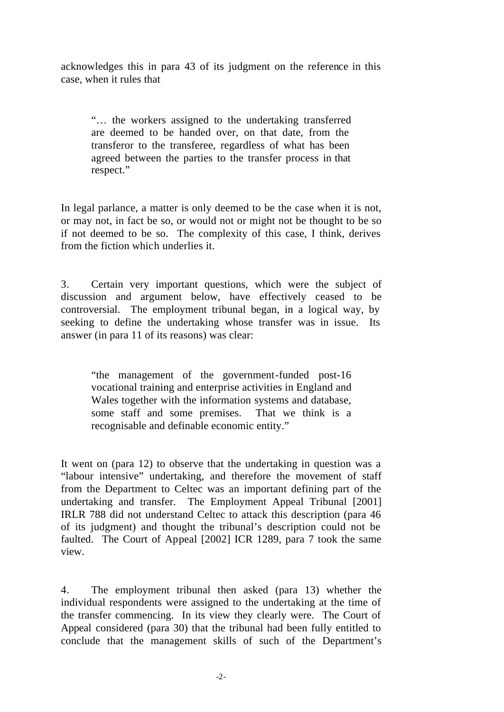acknowledges this in para 43 of its judgment on the reference in this case, when it rules that

"… the workers assigned to the undertaking transferred are deemed to be handed over, on that date, from the transferor to the transferee, regardless of what has been agreed between the parties to the transfer process in that respect."

In legal parlance, a matter is only deemed to be the case when it is not, or may not, in fact be so, or would not or might not be thought to be so if not deemed to be so. The complexity of this case, I think, derives from the fiction which underlies it.

3. Certain very important questions, which were the subject of discussion and argument below, have effectively ceased to be controversial. The employment tribunal began, in a logical way, by seeking to define the undertaking whose transfer was in issue. Its answer (in para 11 of its reasons) was clear:

"the management of the government-funded post-16 vocational training and enterprise activities in England and Wales together with the information systems and database, some staff and some premises. That we think is a recognisable and definable economic entity."

It went on (para 12) to observe that the undertaking in question was a "labour intensive" undertaking, and therefore the movement of staff from the Department to Celtec was an important defining part of the undertaking and transfer. The Employment Appeal Tribunal [2001] IRLR 788 did not understand Celtec to attack this description (para 46 of its judgment) and thought the tribunal's description could not be faulted. The Court of Appeal [2002] ICR 1289, para 7 took the same view.

4. The employment tribunal then asked (para 13) whether the individual respondents were assigned to the undertaking at the time of the transfer commencing. In its view they clearly were. The Court of Appeal considered (para 30) that the tribunal had been fully entitled to conclude that the management skills of such of the Department's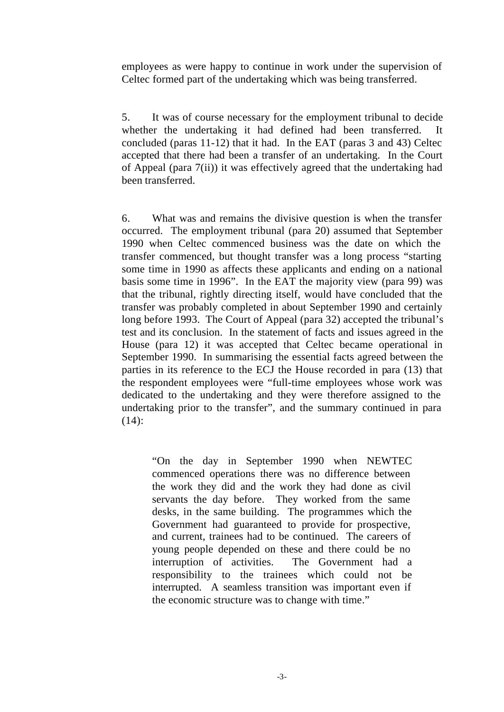employees as were happy to continue in work under the supervision of Celtec formed part of the undertaking which was being transferred.

5. It was of course necessary for the employment tribunal to decide whether the undertaking it had defined had been transferred. It concluded (paras 11-12) that it had. In the EAT (paras 3 and 43) Celtec accepted that there had been a transfer of an undertaking. In the Court of Appeal (para 7(ii)) it was effectively agreed that the undertaking had been transferred.

6. What was and remains the divisive question is when the transfer occurred. The employment tribunal (para 20) assumed that September 1990 when Celtec commenced business was the date on which the transfer commenced, but thought transfer was a long process "starting some time in 1990 as affects these applicants and ending on a national basis some time in 1996". In the EAT the majority view (para 99) was that the tribunal, rightly directing itself, would have concluded that the transfer was probably completed in about September 1990 and certainly long before 1993. The Court of Appeal (para 32) accepted the tribunal's test and its conclusion. In the statement of facts and issues agreed in the House (para 12) it was accepted that Celtec became operational in September 1990. In summarising the essential facts agreed between the parties in its reference to the ECJ the House recorded in para (13) that the respondent employees were "full-time employees whose work was dedicated to the undertaking and they were therefore assigned to the undertaking prior to the transfer", and the summary continued in para (14):

"On the day in September 1990 when NEWTEC commenced operations there was no difference between the work they did and the work they had done as civil servants the day before. They worked from the same desks, in the same building. The programmes which the Government had guaranteed to provide for prospective, and current, trainees had to be continued. The careers of young people depended on these and there could be no interruption of activities. The Government had a responsibility to the trainees which could not be interrupted. A seamless transition was important even if the economic structure was to change with time."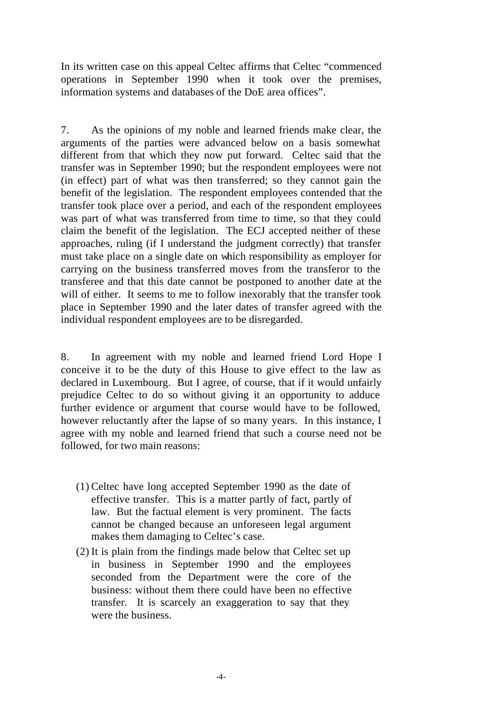In its written case on this appeal Celtec affirms that Celtec "commenced operations in September 1990 when it took over the premises, information systems and databases of the DoE area offices".

7. As the opinions of my noble and learned friends make clear, the arguments of the parties were advanced below on a basis somewhat different from that which they now put forward. Celtec said that the transfer was in September 1990; but the respondent employees were not (in effect) part of what was then transferred; so they cannot gain the benefit of the legislation. The respondent employees contended that the transfer took place over a period, and each of the respondent employees was part of what was transferred from time to time, so that they could claim the benefit of the legislation. The ECJ accepted neither of these approaches, ruling (if I understand the judgment correctly) that transfer must take place on a single date on which responsibility as employer for carrying on the business transferred moves from the transferor to the transferee and that this date cannot be postponed to another date at the will of either. It seems to me to follow inexorably that the transfer took place in September 1990 and the later dates of transfer agreed with the individual respondent employees are to be disregarded.

8. In agreement with my noble and learned friend Lord Hope I conceive it to be the duty of this House to give effect to the law as declared in Luxembourg. But I agree, of course, that if it would unfairly prejudice Celtec to do so without giving it an opportunity to adduce further evidence or argument that course would have to be followed, however reluctantly after the lapse of so many years. In this instance, I agree with my noble and learned friend that such a course need not be followed, for two main reasons:

- (1) Celtec have long accepted September 1990 as the date of effective transfer. This is a matter partly of fact, partly of law. But the factual element is very prominent. The facts cannot be changed because an unforeseen legal argument makes them damaging to Celtec's case.
- (2) It is plain from the findings made below that Celtec set up in business in September 1990 and the employees seconded from the Department were the core of the business: without them there could have been no effective transfer. It is scarcely an exaggeration to say that they were the business.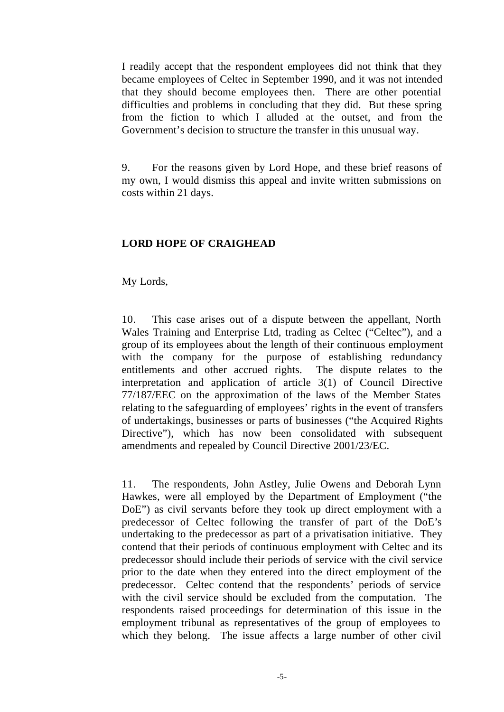I readily accept that the respondent employees did not think that they became employees of Celtec in September 1990, and it was not intended that they should become employees then. There are other potential difficulties and problems in concluding that they did. But these spring from the fiction to which I alluded at the outset, and from the Government's decision to structure the transfer in this unusual way.

9. For the reasons given by Lord Hope, and these brief reasons of my own, I would dismiss this appeal and invite written submissions on costs within 21 days.

# **LORD HOPE OF CRAIGHEAD**

My Lords,

10. This case arises out of a dispute between the appellant, North Wales Training and Enterprise Ltd, trading as Celtec ("Celtec"), and a group of its employees about the length of their continuous employment with the company for the purpose of establishing redundancy entitlements and other accrued rights. The dispute relates to the interpretation and application of article 3(1) of Council Directive 77/187/EEC on the approximation of the laws of the Member States relating to the safeguarding of employees' rights in the event of transfers of undertakings, businesses or parts of businesses ("the Acquired Rights Directive"), which has now been consolidated with subsequent amendments and repealed by Council Directive 2001/23/EC.

11. The respondents, John Astley, Julie Owens and Deborah Lynn Hawkes, were all employed by the Department of Employment ("the DoE") as civil servants before they took up direct employment with a predecessor of Celtec following the transfer of part of the DoE's undertaking to the predecessor as part of a privatisation initiative. They contend that their periods of continuous employment with Celtec and its predecessor should include their periods of service with the civil service prior to the date when they entered into the direct employment of the predecessor. Celtec contend that the respondents' periods of service with the civil service should be excluded from the computation. The respondents raised proceedings for determination of this issue in the employment tribunal as representatives of the group of employees to which they belong. The issue affects a large number of other civil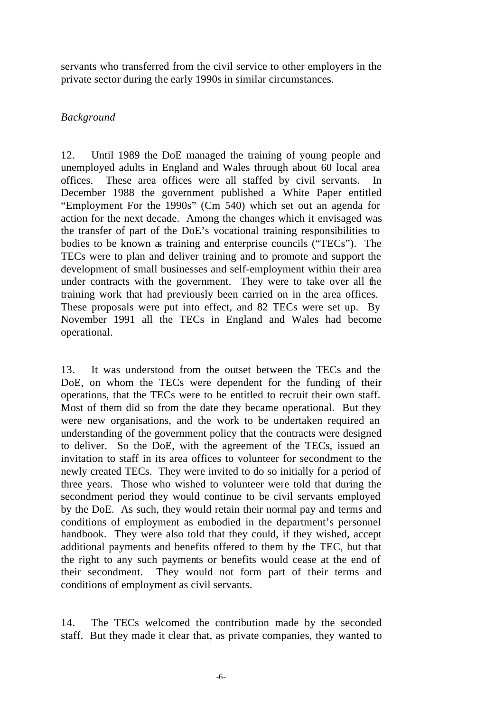servants who transferred from the civil service to other employers in the private sector during the early 1990s in similar circumstances.

# *Background*

12. Until 1989 the DoE managed the training of young people and unemployed adults in England and Wales through about 60 local area offices. These area offices were all staffed by civil servants. In December 1988 the government published a White Paper entitled "Employment For the 1990s" (Cm 540) which set out an agenda for action for the next decade. Among the changes which it envisaged was the transfer of part of the DoE's vocational training responsibilities to bodies to be known as training and enterprise councils ("TECs"). The TECs were to plan and deliver training and to promote and support the development of small businesses and self-employment within their area under contracts with the government. They were to take over all the training work that had previously been carried on in the area offices. These proposals were put into effect, and 82 TECs were set up. By November 1991 all the TECs in England and Wales had become operational.

13. It was understood from the outset between the TECs and the DoE, on whom the TECs were dependent for the funding of their operations, that the TECs were to be entitled to recruit their own staff. Most of them did so from the date they became operational. But they were new organisations, and the work to be undertaken required an understanding of the government policy that the contracts were designed to deliver. So the DoE, with the agreement of the TECs, issued an invitation to staff in its area offices to volunteer for secondment to the newly created TECs. They were invited to do so initially for a period of three years. Those who wished to volunteer were told that during the secondment period they would continue to be civil servants employed by the DoE. As such, they would retain their normal pay and terms and conditions of employment as embodied in the department's personnel handbook. They were also told that they could, if they wished, accept additional payments and benefits offered to them by the TEC, but that the right to any such payments or benefits would cease at the end of their secondment. They would not form part of their terms and conditions of employment as civil servants.

14. The TECs welcomed the contribution made by the seconded staff. But they made it clear that, as private companies, they wanted to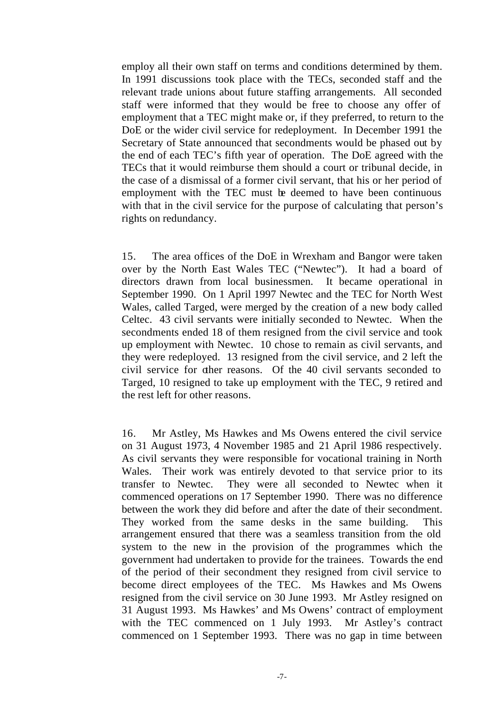employ all their own staff on terms and conditions determined by them. In 1991 discussions took place with the TECs, seconded staff and the relevant trade unions about future staffing arrangements. All seconded staff were informed that they would be free to choose any offer of employment that a TEC might make or, if they preferred, to return to the DoE or the wider civil service for redeployment. In December 1991 the Secretary of State announced that secondments would be phased out by the end of each TEC's fifth year of operation. The DoE agreed with the TECs that it would reimburse them should a court or tribunal decide, in the case of a dismissal of a former civil servant, that his or her period of employment with the TEC must be deemed to have been continuous with that in the civil service for the purpose of calculating that person's rights on redundancy.

15. The area offices of the DoE in Wrexham and Bangor were taken over by the North East Wales TEC ("Newtec"). It had a board of directors drawn from local businessmen. It became operational in September 1990. On 1 April 1997 Newtec and the TEC for North West Wales, called Targed, were merged by the creation of a new body called Celtec. 43 civil servants were initially seconded to Newtec. When the secondments ended 18 of them resigned from the civil service and took up employment with Newtec. 10 chose to remain as civil servants, and they were redeployed. 13 resigned from the civil service, and 2 left the civil service for other reasons. Of the 40 civil servants seconded to Targed, 10 resigned to take up employment with the TEC, 9 retired and the rest left for other reasons.

16. Mr Astley, Ms Hawkes and Ms Owens entered the civil service on 31 August 1973, 4 November 1985 and 21 April 1986 respectively. As civil servants they were responsible for vocational training in North Wales. Their work was entirely devoted to that service prior to its transfer to Newtec. They were all seconded to Newtec when it commenced operations on 17 September 1990. There was no difference between the work they did before and after the date of their secondment. They worked from the same desks in the same building. This arrangement ensured that there was a seamless transition from the old system to the new in the provision of the programmes which the government had undertaken to provide for the trainees. Towards the end of the period of their secondment they resigned from civil service to become direct employees of the TEC. Ms Hawkes and Ms Owens resigned from the civil service on 30 June 1993. Mr Astley resigned on 31 August 1993. Ms Hawkes' and Ms Owens' contract of employment with the TEC commenced on 1 July 1993. Mr Astley's contract commenced on 1 September 1993. There was no gap in time between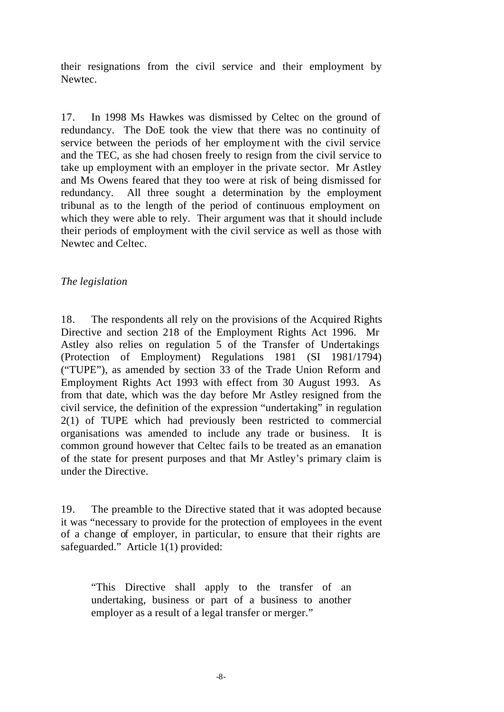their resignations from the civil service and their employment by Newtec.

17. In 1998 Ms Hawkes was dismissed by Celtec on the ground of redundancy. The DoE took the view that there was no continuity of service between the periods of her employme nt with the civil service and the TEC, as she had chosen freely to resign from the civil service to take up employment with an employer in the private sector. Mr Astley and Ms Owens feared that they too were at risk of being dismissed for redundancy. All three sought a determination by the employment tribunal as to the length of the period of continuous employment on which they were able to rely. Their argument was that it should include their periods of employment with the civil service as well as those with Newtec and Celtec.

# *The legislation*

18. The respondents all rely on the provisions of the Acquired Rights Directive and section 218 of the Employment Rights Act 1996. Mr Astley also relies on regulation 5 of the Transfer of Undertakings (Protection of Employment) Regulations 1981 (SI 1981/1794) ("TUPE"), as amended by section 33 of the Trade Union Reform and Employment Rights Act 1993 with effect from 30 August 1993. As from that date, which was the day before Mr Astley resigned from the civil service, the definition of the expression "undertaking" in regulation 2(1) of TUPE which had previously been restricted to commercial organisations was amended to include any trade or business. It is common ground however that Celtec fails to be treated as an emanation of the state for present purposes and that Mr Astley's primary claim is under the Directive.

19. The preamble to the Directive stated that it was adopted because it was "necessary to provide for the protection of employees in the event of a change of employer, in particular, to ensure that their rights are safeguarded." Article 1(1) provided:

"This Directive shall apply to the transfer of an undertaking, business or part of a business to another employer as a result of a legal transfer or merger."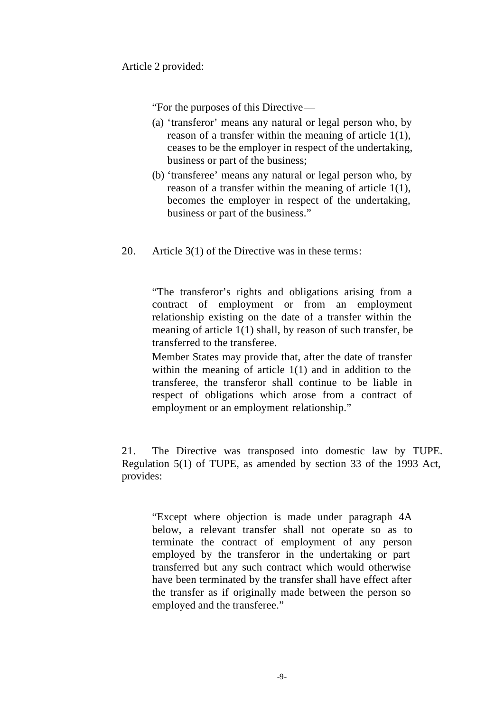Article 2 provided:

"For the purposes of this Directive—

- (a) 'transferor' means any natural or legal person who, by reason of a transfer within the meaning of article 1(1), ceases to be the employer in respect of the undertaking, business or part of the business;
- (b) 'transferee' means any natural or legal person who, by reason of a transfer within the meaning of article 1(1), becomes the employer in respect of the undertaking, business or part of the business."
- 20. Article 3(1) of the Directive was in these terms:

"The transferor's rights and obligations arising from a contract of employment or from an employment relationship existing on the date of a transfer within the meaning of article 1(1) shall, by reason of such transfer, be transferred to the transferee.

Member States may provide that, after the date of transfer within the meaning of article 1(1) and in addition to the transferee, the transferor shall continue to be liable in respect of obligations which arose from a contract of employment or an employment relationship."

21. The Directive was transposed into domestic law by TUPE. Regulation 5(1) of TUPE, as amended by section 33 of the 1993 Act, provides:

"Except where objection is made under paragraph 4A below, a relevant transfer shall not operate so as to terminate the contract of employment of any person employed by the transferor in the undertaking or part transferred but any such contract which would otherwise have been terminated by the transfer shall have effect after the transfer as if originally made between the person so employed and the transferee."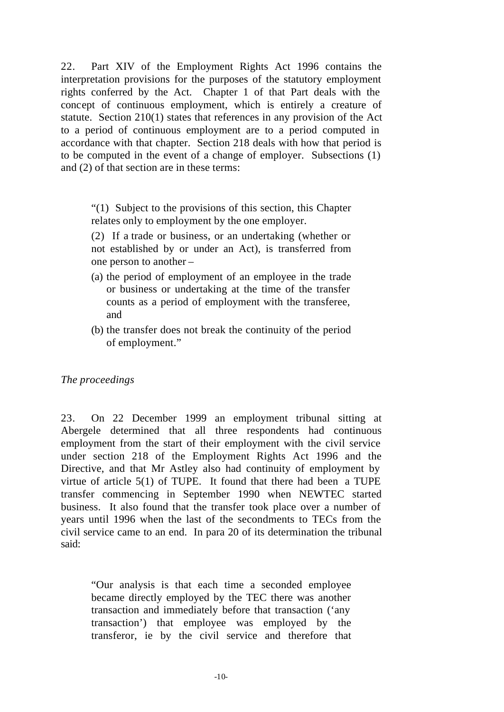22. Part XIV of the Employment Rights Act 1996 contains the interpretation provisions for the purposes of the statutory employment rights conferred by the Act. Chapter 1 of that Part deals with the concept of continuous employment, which is entirely a creature of statute. Section 210(1) states that references in any provision of the Act to a period of continuous employment are to a period computed in accordance with that chapter. Section 218 deals with how that period is to be computed in the event of a change of employer. Subsections (1) and (2) of that section are in these terms:

"(1) Subject to the provisions of this section, this Chapter relates only to employment by the one employer.

(2) If a trade or business, or an undertaking (whether or not established by or under an Act), is transferred from one person to another –

- (a) the period of employment of an employee in the trade or business or undertaking at the time of the transfer counts as a period of employment with the transferee, and
- (b) the transfer does not break the continuity of the period of employment."

# *The proceedings*

23. On 22 December 1999 an employment tribunal sitting at Abergele determined that all three respondents had continuous employment from the start of their employment with the civil service under section 218 of the Employment Rights Act 1996 and the Directive, and that Mr Astley also had continuity of employment by virtue of article 5(1) of TUPE. It found that there had been a TUPE transfer commencing in September 1990 when NEWTEC started business. It also found that the transfer took place over a number of years until 1996 when the last of the secondments to TECs from the civil service came to an end. In para 20 of its determination the tribunal said:

"Our analysis is that each time a seconded employee became directly employed by the TEC there was another transaction and immediately before that transaction ('any transaction') that employee was employed by the transferor, ie by the civil service and therefore that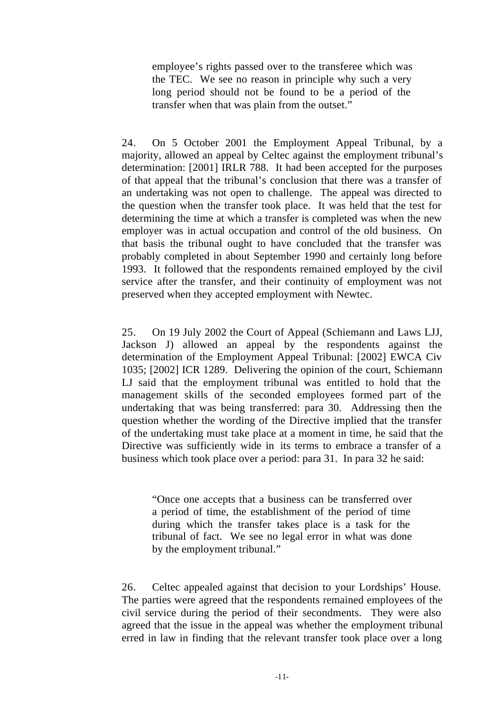employee's rights passed over to the transferee which was the TEC. We see no reason in principle why such a very long period should not be found to be a period of the transfer when that was plain from the outset."

24. On 5 October 2001 the Employment Appeal Tribunal, by a majority, allowed an appeal by Celtec against the employment tribunal's determination: [2001] IRLR 788. It had been accepted for the purposes of that appeal that the tribunal's conclusion that there was a transfer of an undertaking was not open to challenge. The appeal was directed to the question when the transfer took place. It was held that the test for determining the time at which a transfer is completed was when the new employer was in actual occupation and control of the old business. On that basis the tribunal ought to have concluded that the transfer was probably completed in about September 1990 and certainly long before 1993. It followed that the respondents remained employed by the civil service after the transfer, and their continuity of employment was not preserved when they accepted employment with Newtec.

25. On 19 July 2002 the Court of Appeal (Schiemann and Laws LJJ, Jackson J) allowed an appeal by the respondents against the determination of the Employment Appeal Tribunal: [2002] EWCA Civ 1035; [2002] ICR 1289. Delivering the opinion of the court, Schiemann LJ said that the employment tribunal was entitled to hold that the management skills of the seconded employees formed part of the undertaking that was being transferred: para 30. Addressing then the question whether the wording of the Directive implied that the transfer of the undertaking must take place at a moment in time, he said that the Directive was sufficiently wide in its terms to embrace a transfer of a business which took place over a period: para 31. In para 32 he said:

"Once one accepts that a business can be transferred over a period of time, the establishment of the period of time during which the transfer takes place is a task for the tribunal of fact. We see no legal error in what was done by the employment tribunal."

26. Celtec appealed against that decision to your Lordships' House. The parties were agreed that the respondents remained employees of the civil service during the period of their secondments. They were also agreed that the issue in the appeal was whether the employment tribunal erred in law in finding that the relevant transfer took place over a long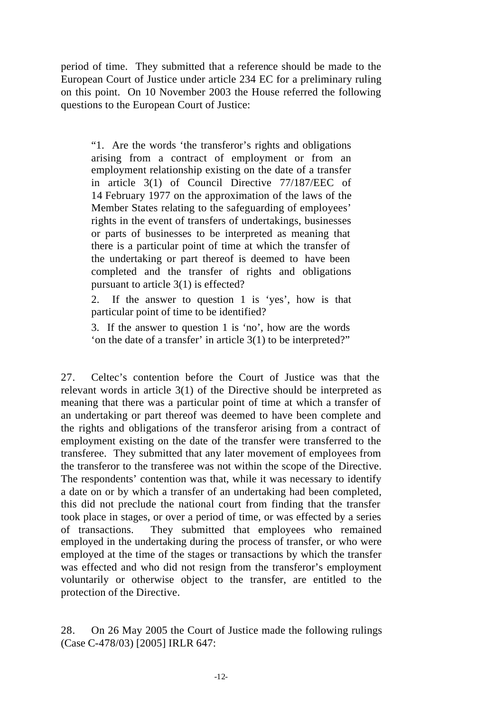period of time. They submitted that a reference should be made to the European Court of Justice under article 234 EC for a preliminary ruling on this point. On 10 November 2003 the House referred the following questions to the European Court of Justice:

"1. Are the words 'the transferor's rights and obligations arising from a contract of employment or from an employment relationship existing on the date of a transfer in article 3(1) of Council Directive 77/187/EEC of 14 February 1977 on the approximation of the laws of the Member States relating to the safeguarding of employees' rights in the event of transfers of undertakings, businesses or parts of businesses to be interpreted as meaning that there is a particular point of time at which the transfer of the undertaking or part thereof is deemed to have been completed and the transfer of rights and obligations pursuant to article 3(1) is effected?

2. If the answer to question 1 is 'yes', how is that particular point of time to be identified?

3. If the answer to question 1 is 'no', how are the words 'on the date of a transfer' in article 3(1) to be interpreted?"

27. Celtec's contention before the Court of Justice was that the relevant words in article 3(1) of the Directive should be interpreted as meaning that there was a particular point of time at which a transfer of an undertaking or part thereof was deemed to have been complete and the rights and obligations of the transferor arising from a contract of employment existing on the date of the transfer were transferred to the transferee. They submitted that any later movement of employees from the transferor to the transferee was not within the scope of the Directive. The respondents' contention was that, while it was necessary to identify a date on or by which a transfer of an undertaking had been completed, this did not preclude the national court from finding that the transfer took place in stages, or over a period of time, or was effected by a series of transactions. They submitted that employees who remained employed in the undertaking during the process of transfer, or who were employed at the time of the stages or transactions by which the transfer was effected and who did not resign from the transferor's employment voluntarily or otherwise object to the transfer, are entitled to the protection of the Directive.

28. On 26 May 2005 the Court of Justice made the following rulings (Case C-478/03) [2005] IRLR 647: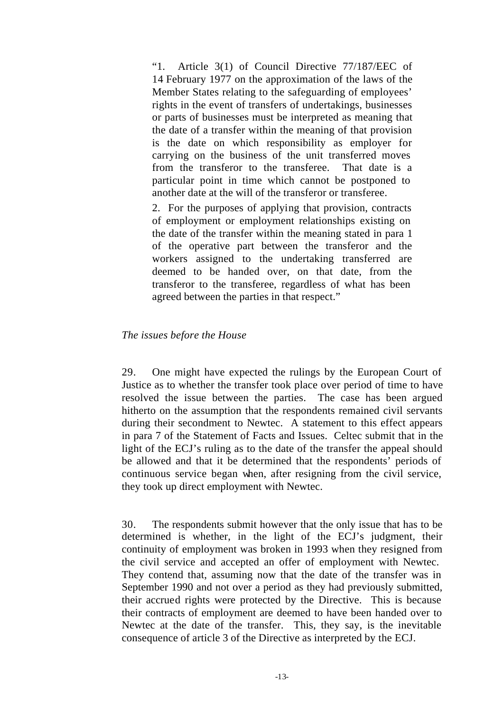"1. Article 3(1) of Council Directive 77/187/EEC of 14 February 1977 on the approximation of the laws of the Member States relating to the safeguarding of employees' rights in the event of transfers of undertakings, businesses or parts of businesses must be interpreted as meaning that the date of a transfer within the meaning of that provision is the date on which responsibility as employer for carrying on the business of the unit transferred moves from the transferor to the transferee. That date is a particular point in time which cannot be postponed to another date at the will of the transferor or transferee.

2. For the purposes of applying that provision, contracts of employment or employment relationships existing on the date of the transfer within the meaning stated in para 1 of the operative part between the transferor and the workers assigned to the undertaking transferred are deemed to be handed over, on that date, from the transferor to the transferee, regardless of what has been agreed between the parties in that respect."

#### *The issues before the House*

29. One might have expected the rulings by the European Court of Justice as to whether the transfer took place over period of time to have resolved the issue between the parties. The case has been argued hitherto on the assumption that the respondents remained civil servants during their secondment to Newtec. A statement to this effect appears in para 7 of the Statement of Facts and Issues. Celtec submit that in the light of the ECJ's ruling as to the date of the transfer the appeal should be allowed and that it be determined that the respondents' periods of continuous service began when, after resigning from the civil service, they took up direct employment with Newtec.

30. The respondents submit however that the only issue that has to be determined is whether, in the light of the ECJ's judgment, their continuity of employment was broken in 1993 when they resigned from the civil service and accepted an offer of employment with Newtec. They contend that, assuming now that the date of the transfer was in September 1990 and not over a period as they had previously submitted, their accrued rights were protected by the Directive. This is because their contracts of employment are deemed to have been handed over to Newtec at the date of the transfer. This, they say, is the inevitable consequence of article 3 of the Directive as interpreted by the ECJ.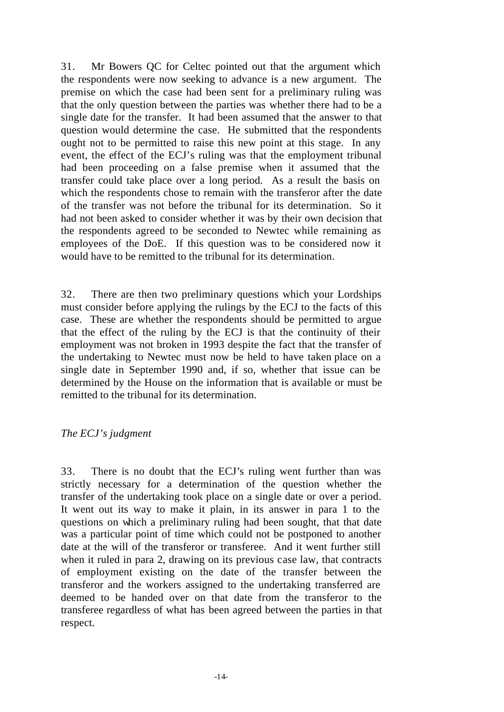31. Mr Bowers QC for Celtec pointed out that the argument which the respondents were now seeking to advance is a new argument. The premise on which the case had been sent for a preliminary ruling was that the only question between the parties was whether there had to be a single date for the transfer. It had been assumed that the answer to that question would determine the case. He submitted that the respondents ought not to be permitted to raise this new point at this stage. In any event, the effect of the ECJ's ruling was that the employment tribunal had been proceeding on a false premise when it assumed that the transfer could take place over a long period. As a result the basis on which the respondents chose to remain with the transferor after the date of the transfer was not before the tribunal for its determination. So it had not been asked to consider whether it was by their own decision that the respondents agreed to be seconded to Newtec while remaining as employees of the DoE. If this question was to be considered now it would have to be remitted to the tribunal for its determination.

32. There are then two preliminary questions which your Lordships must consider before applying the rulings by the ECJ to the facts of this case. These are whether the respondents should be permitted to argue that the effect of the ruling by the ECJ is that the continuity of their employment was not broken in 1993 despite the fact that the transfer of the undertaking to Newtec must now be held to have taken place on a single date in September 1990 and, if so, whether that issue can be determined by the House on the information that is available or must be remitted to the tribunal for its determination.

#### *The ECJ's judgment*

33. There is no doubt that the ECJ's ruling went further than was strictly necessary for a determination of the question whether the transfer of the undertaking took place on a single date or over a period. It went out its way to make it plain, in its answer in para 1 to the questions on which a preliminary ruling had been sought, that that date was a particular point of time which could not be postponed to another date at the will of the transferor or transferee. And it went further still when it ruled in para 2, drawing on its previous case law, that contracts of employment existing on the date of the transfer between the transferor and the workers assigned to the undertaking transferred are deemed to be handed over on that date from the transferor to the transferee regardless of what has been agreed between the parties in that respect.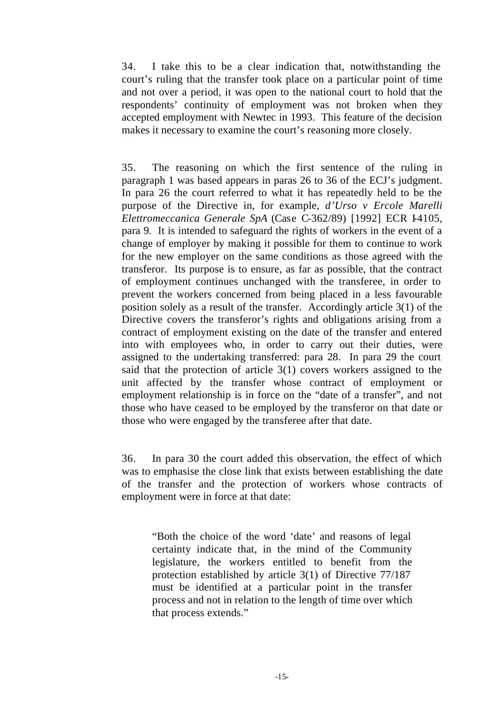34. I take this to be a clear indication that, notwithstanding the court's ruling that the transfer took place on a particular point of time and not over a period, it was open to the national court to hold that the respondents' continuity of employment was not broken when they accepted employment with Newtec in 1993. This feature of the decision makes it necessary to examine the court's reasoning more closely.

35. The reasoning on which the first sentence of the ruling in paragraph 1 was based appears in paras 26 to 36 of the ECJ's judgment. In para 26 the court referred to what it has repeatedly held to be the purpose of the Directive in, for example, *d'Urso v Ercole Marelli Elettromeccanica Generale SpA* (Case C-362/89) [1992] ECR I4105, para 9. It is intended to safeguard the rights of workers in the event of a change of employer by making it possible for them to continue to work for the new employer on the same conditions as those agreed with the transferor. Its purpose is to ensure, as far as possible, that the contract of employment continues unchanged with the transferee, in order to prevent the workers concerned from being placed in a less favourable position solely as a result of the transfer. Accordingly article 3(1) of the Directive covers the transferor's rights and obligations arising from a contract of employment existing on the date of the transfer and entered into with employees who, in order to carry out their duties, were assigned to the undertaking transferred: para 28. In para 29 the court said that the protection of article 3(1) covers workers assigned to the unit affected by the transfer whose contract of employment or employment relationship is in force on the "date of a transfer", and not those who have ceased to be employed by the transferor on that date or those who were engaged by the transferee after that date.

36. In para 30 the court added this observation, the effect of which was to emphasise the close link that exists between establishing the date of the transfer and the protection of workers whose contracts of employment were in force at that date:

"Both the choice of the word 'date' and reasons of legal certainty indicate that, in the mind of the Community legislature, the workers entitled to benefit from the protection established by article 3(1) of Directive 77/187 must be identified at a particular point in the transfer process and not in relation to the length of time over which that process extends."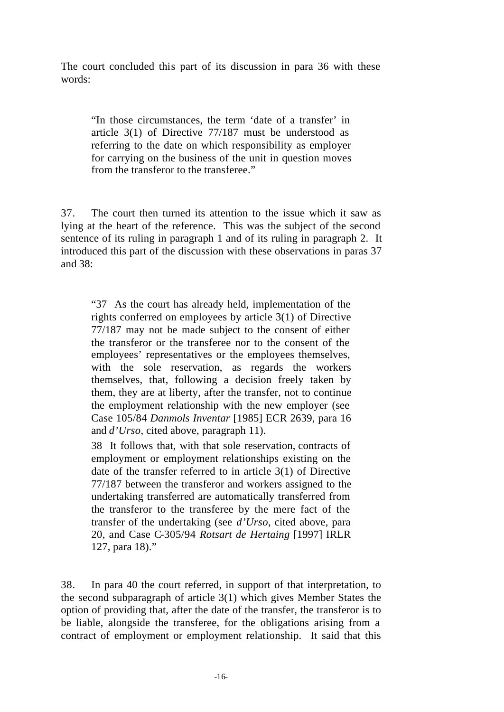The court concluded this part of its discussion in para 36 with these words:

"In those circumstances, the term 'date of a transfer' in article 3(1) of Directive 77/187 must be understood as referring to the date on which responsibility as employer for carrying on the business of the unit in question moves from the transferor to the transferee."

37. The court then turned its attention to the issue which it saw as lying at the heart of the reference. This was the subject of the second sentence of its ruling in paragraph 1 and of its ruling in paragraph 2. It introduced this part of the discussion with these observations in paras 37 and 38:

"37 As the court has already held, implementation of the rights conferred on employees by article 3(1) of Directive 77/187 may not be made subject to the consent of either the transferor or the transferee nor to the consent of the employees' representatives or the employees themselves, with the sole reservation, as regards the workers themselves, that, following a decision freely taken by them, they are at liberty, after the transfer, not to continue the employment relationship with the new employer (see Case 105/84 *Danmols Inventar* [1985] ECR 2639, para 16 and *d'Urso*, cited above, paragraph 11).

38 It follows that, with that sole reservation, contracts of employment or employment relationships existing on the date of the transfer referred to in article 3(1) of Directive 77/187 between the transferor and workers assigned to the undertaking transferred are automatically transferred from the transferor to the transferee by the mere fact of the transfer of the undertaking (see *d'Urso*, cited above, para 20, and Case C-305/94 *Rotsart de Hertaing* [1997] IRLR 127, para 18)."

38. In para 40 the court referred, in support of that interpretation, to the second subparagraph of article 3(1) which gives Member States the option of providing that, after the date of the transfer, the transferor is to be liable, alongside the transferee, for the obligations arising from a contract of employment or employment relationship. It said that this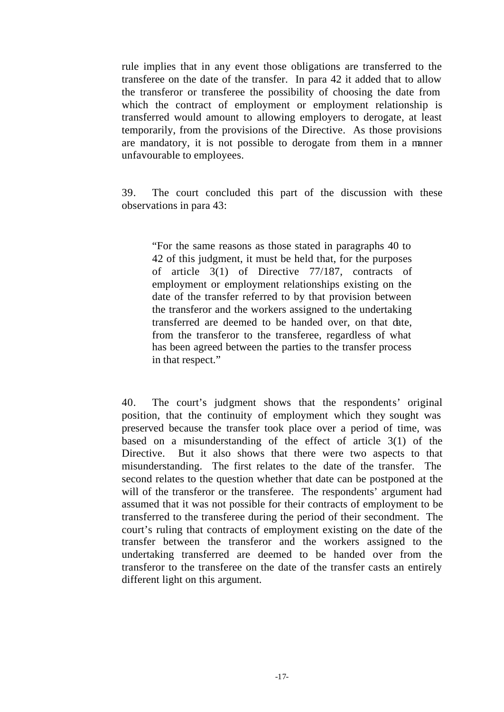rule implies that in any event those obligations are transferred to the transferee on the date of the transfer. In para 42 it added that to allow the transferor or transferee the possibility of choosing the date from which the contract of employment or employment relationship is transferred would amount to allowing employers to derogate, at least temporarily, from the provisions of the Directive. As those provisions are mandatory, it is not possible to derogate from them in a manner unfavourable to employees.

39. The court concluded this part of the discussion with these observations in para 43:

"For the same reasons as those stated in paragraphs 40 to 42 of this judgment, it must be held that, for the purposes of article 3(1) of Directive 77/187, contracts of employment or employment relationships existing on the date of the transfer referred to by that provision between the transferor and the workers assigned to the undertaking transferred are deemed to be handed over, on that date, from the transferor to the transferee, regardless of what has been agreed between the parties to the transfer process in that respect."

40. The court's judgment shows that the respondents' original position, that the continuity of employment which they sought was preserved because the transfer took place over a period of time, was based on a misunderstanding of the effect of article 3(1) of the Directive. But it also shows that there were two aspects to that misunderstanding. The first relates to the date of the transfer. The second relates to the question whether that date can be postponed at the will of the transferor or the transferee. The respondents' argument had assumed that it was not possible for their contracts of employment to be transferred to the transferee during the period of their secondment. The court's ruling that contracts of employment existing on the date of the transfer between the transferor and the workers assigned to the undertaking transferred are deemed to be handed over from the transferor to the transferee on the date of the transfer casts an entirely different light on this argument.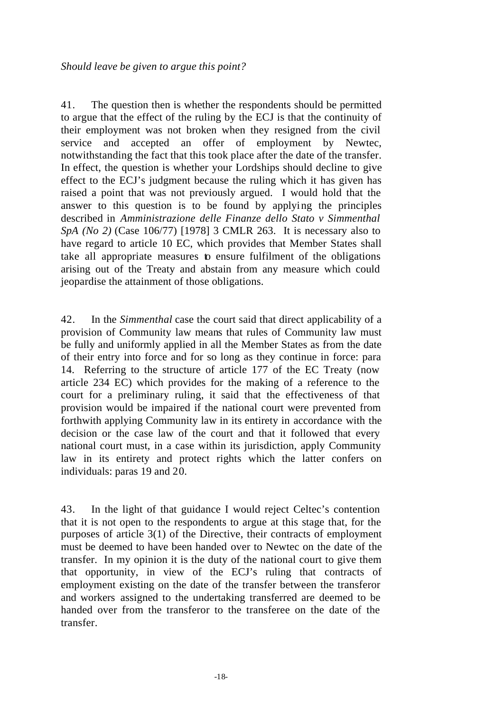41. The question then is whether the respondents should be permitted to argue that the effect of the ruling by the ECJ is that the continuity of their employment was not broken when they resigned from the civil service and accepted an offer of employment by Newtec, notwithstanding the fact that this took place after the date of the transfer. In effect, the question is whether your Lordships should decline to give effect to the ECJ's judgment because the ruling which it has given has raised a point that was not previously argued. I would hold that the answer to this question is to be found by applying the principles described in *Amministrazione delle Finanze dello Stato v Simmenthal SpA (No 2)* (Case 106/77) [1978] 3 CMLR 263. It is necessary also to have regard to article 10 EC, which provides that Member States shall take all appropriate measures to ensure fulfilment of the obligations arising out of the Treaty and abstain from any measure which could jeopardise the attainment of those obligations.

42. In the *Simmenthal* case the court said that direct applicability of a provision of Community law means that rules of Community law must be fully and uniformly applied in all the Member States as from the date of their entry into force and for so long as they continue in force: para 14. Referring to the structure of article 177 of the EC Treaty (now article 234 EC) which provides for the making of a reference to the court for a preliminary ruling, it said that the effectiveness of that provision would be impaired if the national court were prevented from forthwith applying Community law in its entirety in accordance with the decision or the case law of the court and that it followed that every national court must, in a case within its jurisdiction, apply Community law in its entirety and protect rights which the latter confers on individuals: paras 19 and 20.

43. In the light of that guidance I would reject Celtec's contention that it is not open to the respondents to argue at this stage that, for the purposes of article 3(1) of the Directive, their contracts of employment must be deemed to have been handed over to Newtec on the date of the transfer. In my opinion it is the duty of the national court to give them that opportunity, in view of the ECJ's ruling that contracts of employment existing on the date of the transfer between the transferor and workers assigned to the undertaking transferred are deemed to be handed over from the transferor to the transferee on the date of the transfer.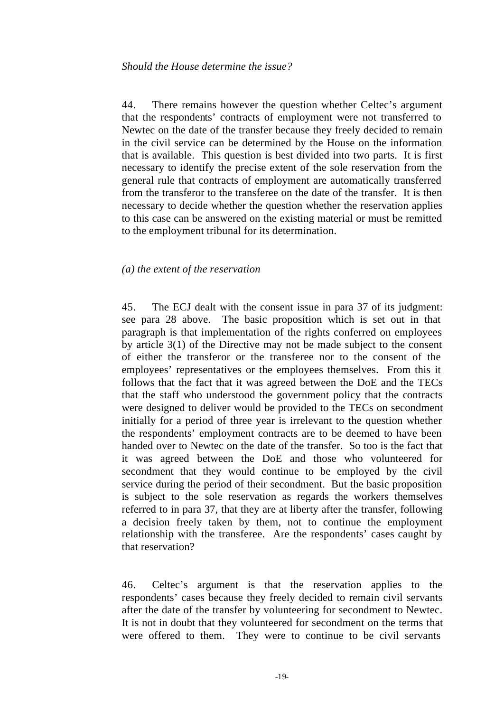44. There remains however the question whether Celtec's argument that the respondents' contracts of employment were not transferred to Newtec on the date of the transfer because they freely decided to remain in the civil service can be determined by the House on the information that is available. This question is best divided into two parts. It is first necessary to identify the precise extent of the sole reservation from the general rule that contracts of employment are automatically transferred from the transferor to the transferee on the date of the transfer. It is then necessary to decide whether the question whether the reservation applies to this case can be answered on the existing material or must be remitted to the employment tribunal for its determination.

#### *(a) the extent of the reservation*

45. The ECJ dealt with the consent issue in para 37 of its judgment: see para 28 above. The basic proposition which is set out in that paragraph is that implementation of the rights conferred on employees by article 3(1) of the Directive may not be made subject to the consent of either the transferor or the transferee nor to the consent of the employees' representatives or the employees themselves. From this it follows that the fact that it was agreed between the DoE and the TECs that the staff who understood the government policy that the contracts were designed to deliver would be provided to the TECs on secondment initially for a period of three year is irrelevant to the question whether the respondents' employment contracts are to be deemed to have been handed over to Newtec on the date of the transfer. So too is the fact that it was agreed between the DoE and those who volunteered for secondment that they would continue to be employed by the civil service during the period of their secondment. But the basic proposition is subject to the sole reservation as regards the workers themselves referred to in para 37, that they are at liberty after the transfer, following a decision freely taken by them, not to continue the employment relationship with the transferee. Are the respondents' cases caught by that reservation?

46. Celtec's argument is that the reservation applies to the respondents' cases because they freely decided to remain civil servants after the date of the transfer by volunteering for secondment to Newtec. It is not in doubt that they volunteered for secondment on the terms that were offered to them. They were to continue to be civil servants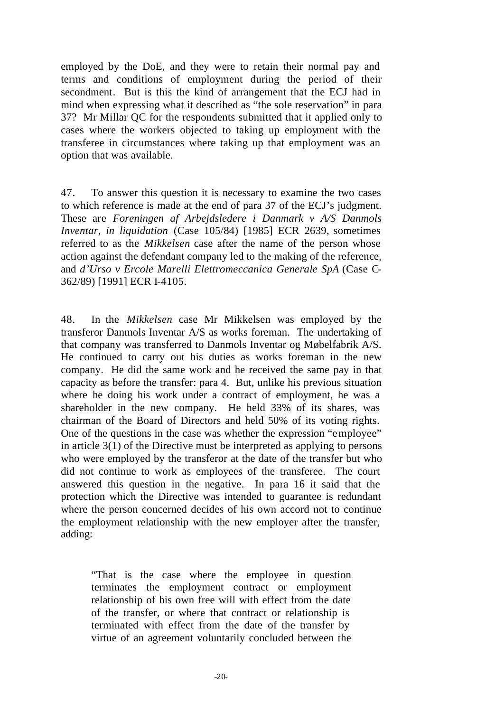employed by the DoE, and they were to retain their normal pay and terms and conditions of employment during the period of their secondment. But is this the kind of arrangement that the ECJ had in mind when expressing what it described as "the sole reservation" in para 37? Mr Millar QC for the respondents submitted that it applied only to cases where the workers objected to taking up employment with the transferee in circumstances where taking up that employment was an option that was available.

47. To answer this question it is necessary to examine the two cases to which reference is made at the end of para 37 of the ECJ's judgment. These are *Foreningen af Arbejdsledere i Danmark v A/S Danmols Inventar, in liquidation* (Case 105/84) [1985] ECR 2639, sometimes referred to as the *Mikkelsen* case after the name of the person whose action against the defendant company led to the making of the reference, and *d'Urso v Ercole Marelli Elettromeccanica Generale SpA* (Case C-362/89) [1991] ECR I-4105.

48. In the *Mikkelsen* case Mr Mikkelsen was employed by the transferor Danmols Inventar A/S as works foreman. The undertaking of that company was transferred to Danmols Inventar og Møbelfabrik A/S. He continued to carry out his duties as works foreman in the new company. He did the same work and he received the same pay in that capacity as before the transfer: para 4. But, unlike his previous situation where he doing his work under a contract of employment, he was a shareholder in the new company. He held 33% of its shares, was chairman of the Board of Directors and held 50% of its voting rights. One of the questions in the case was whether the expression "employee" in article 3(1) of the Directive must be interpreted as applying to persons who were employed by the transferor at the date of the transfer but who did not continue to work as employees of the transferee. The court answered this question in the negative. In para 16 it said that the protection which the Directive was intended to guarantee is redundant where the person concerned decides of his own accord not to continue the employment relationship with the new employer after the transfer, adding:

"That is the case where the employee in question terminates the employment contract or employment relationship of his own free will with effect from the date of the transfer, or where that contract or relationship is terminated with effect from the date of the transfer by virtue of an agreement voluntarily concluded between the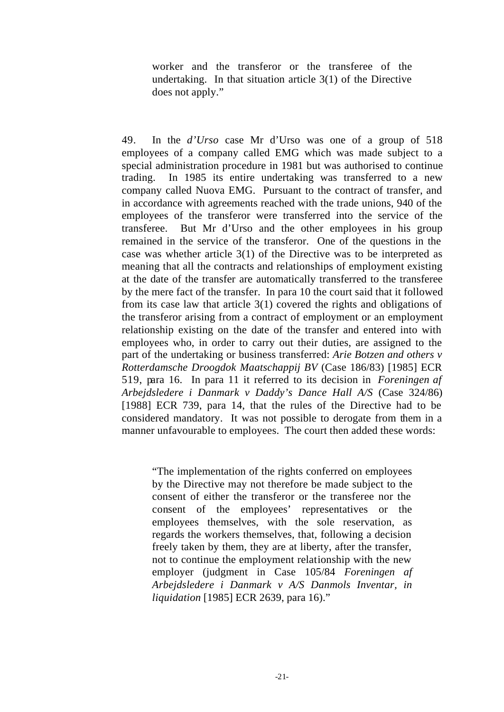worker and the transferor or the transferee of the undertaking. In that situation article 3(1) of the Directive does not apply."

49. In the *d'Urso* case Mr d'Urso was one of a group of 518 employees of a company called EMG which was made subject to a special administration procedure in 1981 but was authorised to continue trading. In 1985 its entire undertaking was transferred to a new company called Nuova EMG. Pursuant to the contract of transfer, and in accordance with agreements reached with the trade unions, 940 of the employees of the transferor were transferred into the service of the transferee. But Mr d'Urso and the other employees in his group remained in the service of the transferor. One of the questions in the case was whether article 3(1) of the Directive was to be interpreted as meaning that all the contracts and relationships of employment existing at the date of the transfer are automatically transferred to the transferee by the mere fact of the transfer. In para 10 the court said that it followed from its case law that article 3(1) covered the rights and obligations of the transferor arising from a contract of employment or an employment relationship existing on the date of the transfer and entered into with employees who, in order to carry out their duties, are assigned to the part of the undertaking or business transferred: *Arie Botzen and others v Rotterdamsche Droogdok Maatschappij BV* (Case 186/83) [1985] ECR 519, para 16. In para 11 it referred to its decision in *Foreningen af Arbejdsledere i Danmark v Daddy's Dance Hall A/S* (Case 324/86) [1988] ECR 739, para 14, that the rules of the Directive had to be considered mandatory. It was not possible to derogate from them in a manner unfavourable to employees. The court then added these words:

"The implementation of the rights conferred on employees by the Directive may not therefore be made subject to the consent of either the transferor or the transferee nor the consent of the employees' representatives or the employees themselves, with the sole reservation, as regards the workers themselves, that, following a decision freely taken by them, they are at liberty, after the transfer, not to continue the employment relationship with the new employer (judgment in Case 105/84 *Foreningen af Arbejdsledere i Danmark v A/S Danmols Inventar, in liquidation* [1985] ECR 2639, para 16)."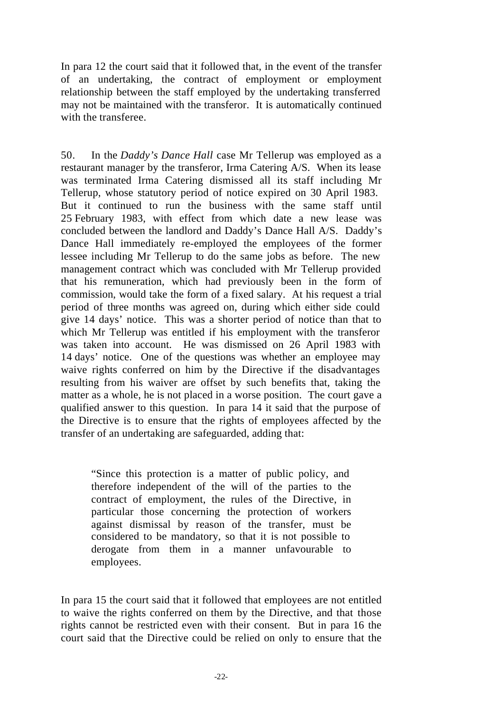In para 12 the court said that it followed that, in the event of the transfer of an undertaking, the contract of employment or employment relationship between the staff employed by the undertaking transferred may not be maintained with the transferor. It is automatically continued with the transferee.

50. In the *Daddy's Dance Hall* case Mr Tellerup was employed as a restaurant manager by the transferor, Irma Catering A/S. When its lease was terminated Irma Catering dismissed all its staff including Mr Tellerup, whose statutory period of notice expired on 30 April 1983. But it continued to run the business with the same staff until 25 February 1983, with effect from which date a new lease was concluded between the landlord and Daddy's Dance Hall A/S. Daddy's Dance Hall immediately re-employed the employees of the former lessee including Mr Tellerup to do the same jobs as before. The new management contract which was concluded with Mr Tellerup provided that his remuneration, which had previously been in the form of commission, would take the form of a fixed salary. At his request a trial period of three months was agreed on, during which either side could give 14 days' notice. This was a shorter period of notice than that to which Mr Tellerup was entitled if his employment with the transferor was taken into account. He was dismissed on 26 April 1983 with 14 days' notice. One of the questions was whether an employee may waive rights conferred on him by the Directive if the disadvantages resulting from his waiver are offset by such benefits that, taking the matter as a whole, he is not placed in a worse position. The court gave a qualified answer to this question. In para 14 it said that the purpose of the Directive is to ensure that the rights of employees affected by the transfer of an undertaking are safeguarded, adding that:

"Since this protection is a matter of public policy, and therefore independent of the will of the parties to the contract of employment, the rules of the Directive, in particular those concerning the protection of workers against dismissal by reason of the transfer, must be considered to be mandatory, so that it is not possible to derogate from them in a manner unfavourable to employees.

In para 15 the court said that it followed that employees are not entitled to waive the rights conferred on them by the Directive, and that those rights cannot be restricted even with their consent. But in para 16 the court said that the Directive could be relied on only to ensure that the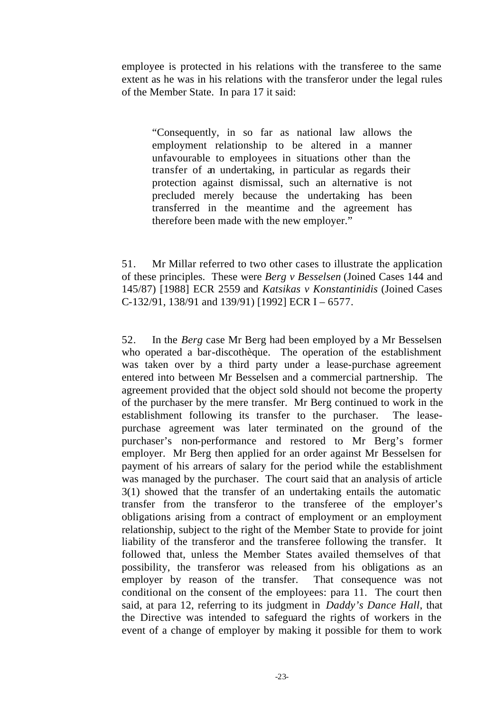employee is protected in his relations with the transferee to the same extent as he was in his relations with the transferor under the legal rules of the Member State. In para 17 it said:

"Consequently, in so far as national law allows the employment relationship to be altered in a manner unfavourable to employees in situations other than the transfer of an undertaking, in particular as regards their protection against dismissal, such an alternative is not precluded merely because the undertaking has been transferred in the meantime and the agreement has therefore been made with the new employer."

51. Mr Millar referred to two other cases to illustrate the application of these principles. These were *Berg v Besselsen* (Joined Cases 144 and 145/87) [1988] ECR 2559 and *Katsikas v Konstantinidis* (Joined Cases C-132/91, 138/91 and 139/91) [1992] ECR I – 6577.

52. In the *Berg* case Mr Berg had been employed by a Mr Besselsen who operated a bar-discothèque. The operation of the establishment was taken over by a third party under a lease-purchase agreement entered into between Mr Besselsen and a commercial partnership. The agreement provided that the object sold should not become the property of the purchaser by the mere transfer. Mr Berg continued to work in the establishment following its transfer to the purchaser. The leasepurchase agreement was later terminated on the ground of the purchaser's non-performance and restored to Mr Berg's former employer. Mr Berg then applied for an order against Mr Besselsen for payment of his arrears of salary for the period while the establishment was managed by the purchaser. The court said that an analysis of article 3(1) showed that the transfer of an undertaking entails the automatic transfer from the transferor to the transferee of the employer's obligations arising from a contract of employment or an employment relationship, subject to the right of the Member State to provide for joint liability of the transferor and the transferee following the transfer. It followed that, unless the Member States availed themselves of that possibility, the transferor was released from his obligations as an employer by reason of the transfer. That consequence was not conditional on the consent of the employees: para 11. The court then said, at para 12, referring to its judgment in *Daddy's Dance Hall*, that the Directive was intended to safeguard the rights of workers in the event of a change of employer by making it possible for them to work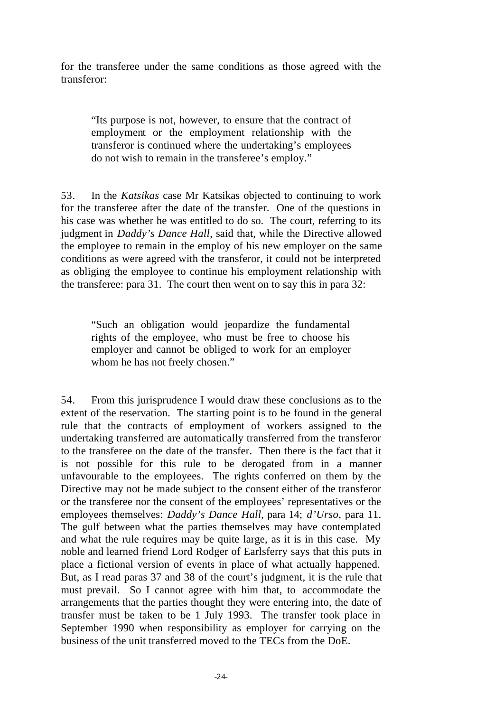for the transferee under the same conditions as those agreed with the transferor:

"Its purpose is not, however, to ensure that the contract of employment or the employment relationship with the transferor is continued where the undertaking's employees do not wish to remain in the transferee's employ."

53. In the *Katsikas* case Mr Katsikas objected to continuing to work for the transferee after the date of the transfer. One of the questions in his case was whether he was entitled to do so. The court, referring to its judgment in *Daddy's Dance Hall*, said that, while the Directive allowed the employee to remain in the employ of his new employer on the same conditions as were agreed with the transferor, it could not be interpreted as obliging the employee to continue his employment relationship with the transferee: para 31. The court then went on to say this in para 32:

"Such an obligation would jeopardize the fundamental rights of the employee, who must be free to choose his employer and cannot be obliged to work for an employer whom he has not freely chosen."

54. From this jurisprudence I would draw these conclusions as to the extent of the reservation. The starting point is to be found in the general rule that the contracts of employment of workers assigned to the undertaking transferred are automatically transferred from the transferor to the transferee on the date of the transfer. Then there is the fact that it is not possible for this rule to be derogated from in a manner unfavourable to the employees. The rights conferred on them by the Directive may not be made subject to the consent either of the transferor or the transferee nor the consent of the employees' representatives or the employees themselves: *Daddy's Dance Hall*, para 14; *d'Urso*, para 11. The gulf between what the parties themselves may have contemplated and what the rule requires may be quite large, as it is in this case. My noble and learned friend Lord Rodger of Earlsferry says that this puts in place a fictional version of events in place of what actually happened. But, as I read paras 37 and 38 of the court's judgment, it is the rule that must prevail. So I cannot agree with him that, to accommodate the arrangements that the parties thought they were entering into, the date of transfer must be taken to be 1 July 1993. The transfer took place in September 1990 when responsibility as employer for carrying on the business of the unit transferred moved to the TECs from the DoE.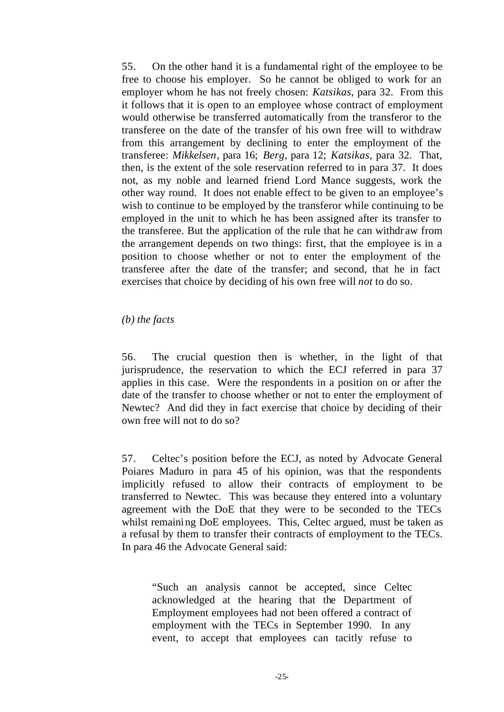55. On the other hand it is a fundamental right of the employee to be free to choose his employer. So he cannot be obliged to work for an employer whom he has not freely chosen: *Katsikas*, para 32. From this it follows that it is open to an employee whose contract of employment would otherwise be transferred automatically from the transferor to the transferee on the date of the transfer of his own free will to withdraw from this arrangement by declining to enter the employment of the transferee: *Mikkelsen*, para 16; *Berg*, para 12; *Katsikas*, para 32. That, then, is the extent of the sole reservation referred to in para 37. It does not, as my noble and learned friend Lord Mance suggests, work the other way round. It does not enable effect to be given to an employee's wish to continue to be employed by the transferor while continuing to be employed in the unit to which he has been assigned after its transfer to the transferee. But the application of the rule that he can withdr aw from the arrangement depends on two things: first, that the employee is in a position to choose whether or not to enter the employment of the transferee after the date of the transfer; and second, that he in fact exercises that choice by deciding of his own free will *not* to do so.

#### *(b) the facts*

56. The crucial question then is whether, in the light of that jurisprudence, the reservation to which the ECJ referred in para 37 applies in this case. Were the respondents in a position on or after the date of the transfer to choose whether or not to enter the employment of Newtec? And did they in fact exercise that choice by deciding of their own free will not to do so?

57. Celtec's position before the ECJ, as noted by Advocate General Poiares Maduro in para 45 of his opinion, was that the respondents implicitly refused to allow their contracts of employment to be transferred to Newtec. This was because they entered into a voluntary agreement with the DoE that they were to be seconded to the TECs whilst remaining DoE employees. This, Celtec argued, must be taken as a refusal by them to transfer their contracts of employment to the TECs. In para 46 the Advocate General said:

"Such an analysis cannot be accepted, since Celtec acknowledged at the hearing that the Department of Employment employees had not been offered a contract of employment with the TECs in September 1990. In any event, to accept that employees can tacitly refuse to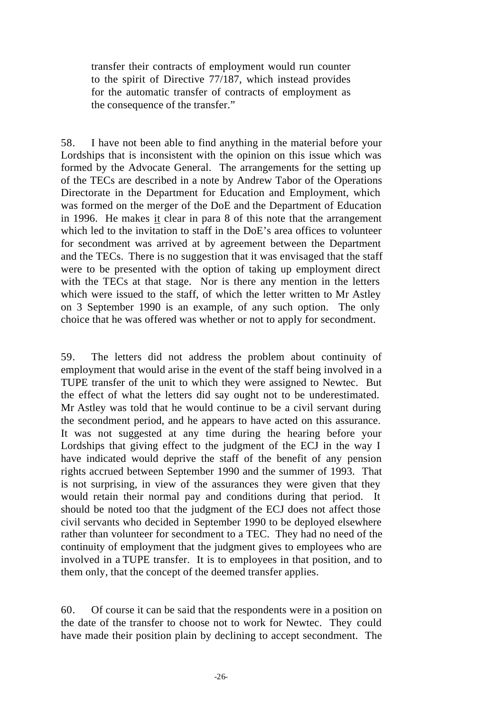transfer their contracts of employment would run counter to the spirit of Directive 77/187, which instead provides for the automatic transfer of contracts of employment as the consequence of the transfer."

58. I have not been able to find anything in the material before your Lordships that is inconsistent with the opinion on this issue which was formed by the Advocate General. The arrangements for the setting up of the TECs are described in a note by Andrew Tabor of the Operations Directorate in the Department for Education and Employment, which was formed on the merger of the DoE and the Department of Education in 1996. He makes it clear in para 8 of this note that the arrangement which led to the invitation to staff in the DoE's area offices to volunteer for secondment was arrived at by agreement between the Department and the TECs. There is no suggestion that it was envisaged that the staff were to be presented with the option of taking up employment direct with the TECs at that stage. Nor is there any mention in the letters which were issued to the staff, of which the letter written to Mr Astley on 3 September 1990 is an example, of any such option. The only choice that he was offered was whether or not to apply for secondment.

59. The letters did not address the problem about continuity of employment that would arise in the event of the staff being involved in a TUPE transfer of the unit to which they were assigned to Newtec. But the effect of what the letters did say ought not to be underestimated. Mr Astley was told that he would continue to be a civil servant during the secondment period, and he appears to have acted on this assurance. It was not suggested at any time during the hearing before your Lordships that giving effect to the judgment of the ECJ in the way I have indicated would deprive the staff of the benefit of any pension rights accrued between September 1990 and the summer of 1993. That is not surprising, in view of the assurances they were given that they would retain their normal pay and conditions during that period. It should be noted too that the judgment of the ECJ does not affect those civil servants who decided in September 1990 to be deployed elsewhere rather than volunteer for secondment to a TEC. They had no need of the continuity of employment that the judgment gives to employees who are involved in a TUPE transfer. It is to employees in that position, and to them only, that the concept of the deemed transfer applies.

60. Of course it can be said that the respondents were in a position on the date of the transfer to choose not to work for Newtec. They could have made their position plain by declining to accept secondment. The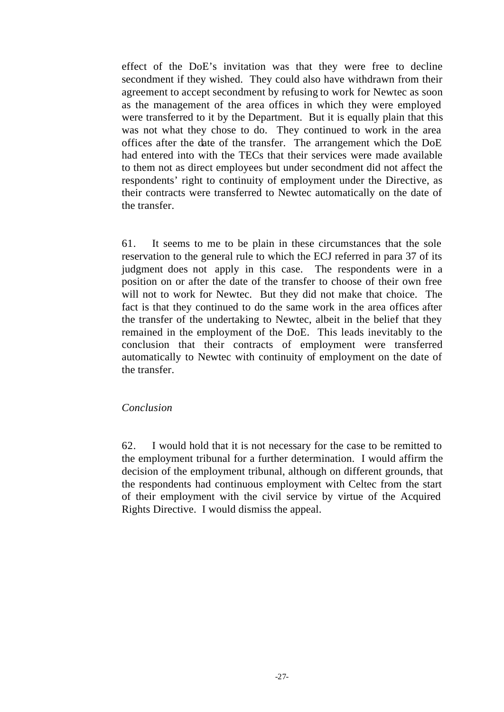effect of the DoE's invitation was that they were free to decline secondment if they wished. They could also have withdrawn from their agreement to accept secondment by refusing to work for Newtec as soon as the management of the area offices in which they were employed were transferred to it by the Department. But it is equally plain that this was not what they chose to do. They continued to work in the area offices after the date of the transfer. The arrangement which the DoE had entered into with the TECs that their services were made available to them not as direct employees but under secondment did not affect the respondents' right to continuity of employment under the Directive, as their contracts were transferred to Newtec automatically on the date of the transfer.

61. It seems to me to be plain in these circumstances that the sole reservation to the general rule to which the ECJ referred in para 37 of its judgment does not apply in this case. The respondents were in a position on or after the date of the transfer to choose of their own free will not to work for Newtec. But they did not make that choice. The fact is that they continued to do the same work in the area offices after the transfer of the undertaking to Newtec, albeit in the belief that they remained in the employment of the DoE. This leads inevitably to the conclusion that their contracts of employment were transferred automatically to Newtec with continuity of employment on the date of the transfer.

#### *Conclusion*

62. I would hold that it is not necessary for the case to be remitted to the employment tribunal for a further determination. I would affirm the decision of the employment tribunal, although on different grounds, that the respondents had continuous employment with Celtec from the start of their employment with the civil service by virtue of the Acquired Rights Directive. I would dismiss the appeal.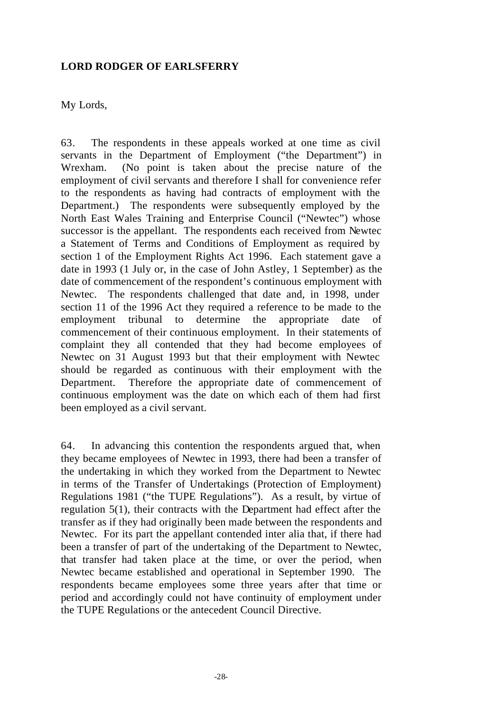## **LORD RODGER OF EARLSFERRY**

## My Lords,

63. The respondents in these appeals worked at one time as civil servants in the Department of Employment ("the Department") in Wrexham. (No point is taken about the precise nature of the employment of civil servants and therefore I shall for convenience refer to the respondents as having had contracts of employment with the Department.) The respondents were subsequently employed by the North East Wales Training and Enterprise Council ("Newtec") whose successor is the appellant. The respondents each received from Newtec a Statement of Terms and Conditions of Employment as required by section 1 of the Employment Rights Act 1996. Each statement gave a date in 1993 (1 July or, in the case of John Astley, 1 September) as the date of commencement of the respondent's continuous employment with Newtec. The respondents challenged that date and, in 1998, under section 11 of the 1996 Act they required a reference to be made to the employment tribunal to determine the appropriate date of commencement of their continuous employment. In their statements of complaint they all contended that they had become employees of Newtec on 31 August 1993 but that their employment with Newtec should be regarded as continuous with their employment with the Department. Therefore the appropriate date of commencement of continuous employment was the date on which each of them had first been employed as a civil servant.

64. In advancing this contention the respondents argued that, when they became employees of Newtec in 1993, there had been a transfer of the undertaking in which they worked from the Department to Newtec in terms of the Transfer of Undertakings (Protection of Employment) Regulations 1981 ("the TUPE Regulations"). As a result, by virtue of regulation 5(1), their contracts with the Department had effect after the transfer as if they had originally been made between the respondents and Newtec. For its part the appellant contended inter alia that, if there had been a transfer of part of the undertaking of the Department to Newtec, that transfer had taken place at the time, or over the period, when Newtec became established and operational in September 1990. The respondents became employees some three years after that time or period and accordingly could not have continuity of employment under the TUPE Regulations or the antecedent Council Directive.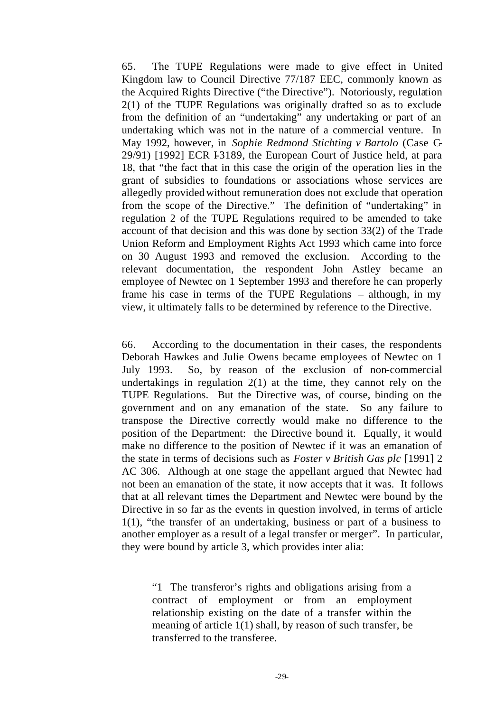65. The TUPE Regulations were made to give effect in United Kingdom law to Council Directive 77/187 EEC, commonly known as the Acquired Rights Directive ("the Directive"). Notoriously, regulation 2(1) of the TUPE Regulations was originally drafted so as to exclude from the definition of an "undertaking" any undertaking or part of an undertaking which was not in the nature of a commercial venture. In May 1992, however, in *Sophie Redmond Stichting v Bartolo* (Case C-29/91) [1992] ECR I-3189, the European Court of Justice held, at para 18, that "the fact that in this case the origin of the operation lies in the grant of subsidies to foundations or associations whose services are allegedly provided without remuneration does not exclude that operation from the scope of the Directive." The definition of "undertaking" in regulation 2 of the TUPE Regulations required to be amended to take account of that decision and this was done by section 33(2) of the Trade Union Reform and Employment Rights Act 1993 which came into force on 30 August 1993 and removed the exclusion. According to the relevant documentation, the respondent John Astley became an employee of Newtec on 1 September 1993 and therefore he can properly frame his case in terms of the TUPE Regulations – although, in my view, it ultimately falls to be determined by reference to the Directive.

66. According to the documentation in their cases, the respondents Deborah Hawkes and Julie Owens became employees of Newtec on 1 July 1993. So, by reason of the exclusion of non-commercial undertakings in regulation  $2(1)$  at the time, they cannot rely on the TUPE Regulations. But the Directive was, of course, binding on the government and on any emanation of the state. So any failure to transpose the Directive correctly would make no difference to the position of the Department: the Directive bound it. Equally, it would make no difference to the position of Newtec if it was an emanation of the state in terms of decisions such as *Foster v British Gas plc* [1991] 2 AC 306. Although at one stage the appellant argued that Newtec had not been an emanation of the state, it now accepts that it was. It follows that at all relevant times the Department and Newtec were bound by the Directive in so far as the events in question involved, in terms of article 1(1), "the transfer of an undertaking, business or part of a business to another employer as a result of a legal transfer or merger". In particular, they were bound by article 3, which provides inter alia:

"1 The transferor's rights and obligations arising from a contract of employment or from an employment relationship existing on the date of a transfer within the meaning of article 1(1) shall, by reason of such transfer, be transferred to the transferee.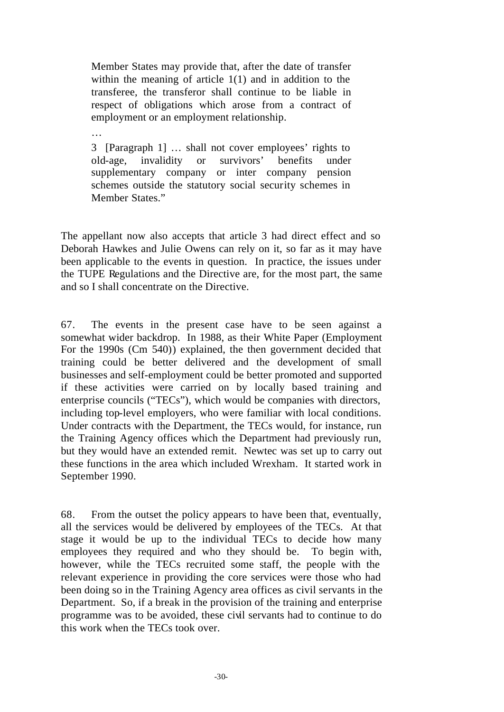Member States may provide that, after the date of transfer within the meaning of article 1(1) and in addition to the transferee, the transferor shall continue to be liable in respect of obligations which arose from a contract of employment or an employment relationship.

3 [Paragraph 1] … shall not cover employees' rights to old-age, invalidity or survivors' benefits under supplementary company or inter company pension schemes outside the statutory social security schemes in Member States."

…

The appellant now also accepts that article 3 had direct effect and so Deborah Hawkes and Julie Owens can rely on it, so far as it may have been applicable to the events in question. In practice, the issues under the TUPE Regulations and the Directive are, for the most part, the same and so I shall concentrate on the Directive.

67. The events in the present case have to be seen against a somewhat wider backdrop. In 1988, as their White Paper (Employment For the 1990s (Cm 540)) explained, the then government decided that training could be better delivered and the development of small businesses and self-employment could be better promoted and supported if these activities were carried on by locally based training and enterprise councils ("TECs"), which would be companies with directors, including top-level employers, who were familiar with local conditions. Under contracts with the Department, the TECs would, for instance, run the Training Agency offices which the Department had previously run, but they would have an extended remit. Newtec was set up to carry out these functions in the area which included Wrexham. It started work in September 1990.

68. From the outset the policy appears to have been that, eventually, all the services would be delivered by employees of the TECs. At that stage it would be up to the individual TECs to decide how many employees they required and who they should be. To begin with, however, while the TECs recruited some staff, the people with the relevant experience in providing the core services were those who had been doing so in the Training Agency area offices as civil servants in the Department. So, if a break in the provision of the training and enterprise programme was to be avoided, these civil servants had to continue to do this work when the TECs took over.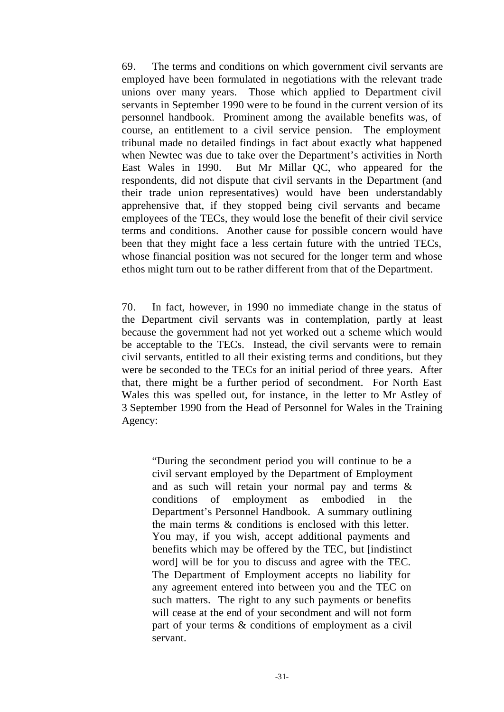69. The terms and conditions on which government civil servants are employed have been formulated in negotiations with the relevant trade unions over many years. Those which applied to Department civil servants in September 1990 were to be found in the current version of its personnel handbook. Prominent among the available benefits was, of course, an entitlement to a civil service pension. The employment tribunal made no detailed findings in fact about exactly what happened when Newtec was due to take over the Department's activities in North East Wales in 1990. But Mr Millar QC, who appeared for the respondents, did not dispute that civil servants in the Department (and their trade union representatives) would have been understandably apprehensive that, if they stopped being civil servants and became employees of the TECs, they would lose the benefit of their civil service terms and conditions. Another cause for possible concern would have been that they might face a less certain future with the untried TECs, whose financial position was not secured for the longer term and whose ethos might turn out to be rather different from that of the Department.

70. In fact, however, in 1990 no immediate change in the status of the Department civil servants was in contemplation, partly at least because the government had not yet worked out a scheme which would be acceptable to the TECs. Instead, the civil servants were to remain civil servants, entitled to all their existing terms and conditions, but they were be seconded to the TECs for an initial period of three years. After that, there might be a further period of secondment. For North East Wales this was spelled out, for instance, in the letter to Mr Astley of 3 September 1990 from the Head of Personnel for Wales in the Training Agency:

"During the secondment period you will continue to be a civil servant employed by the Department of Employment and as such will retain your normal pay and terms & conditions of employment as embodied in the Department's Personnel Handbook. A summary outlining the main terms & conditions is enclosed with this letter. You may, if you wish, accept additional payments and benefits which may be offered by the TEC, but [indistinct word] will be for you to discuss and agree with the TEC. The Department of Employment accepts no liability for any agreement entered into between you and the TEC on such matters. The right to any such payments or benefits will cease at the end of your secondment and will not form part of your terms & conditions of employment as a civil servant.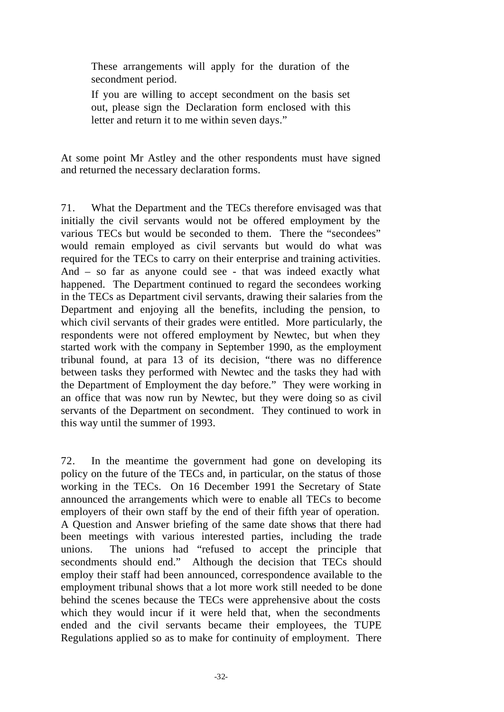These arrangements will apply for the duration of the secondment period.

If you are willing to accept secondment on the basis set out, please sign the Declaration form enclosed with this letter and return it to me within seven days."

At some point Mr Astley and the other respondents must have signed and returned the necessary declaration forms.

71. What the Department and the TECs therefore envisaged was that initially the civil servants would not be offered employment by the various TECs but would be seconded to them. There the "secondees" would remain employed as civil servants but would do what was required for the TECs to carry on their enterprise and training activities. And – so far as anyone could see - that was indeed exactly what happened. The Department continued to regard the secondees working in the TECs as Department civil servants, drawing their salaries from the Department and enjoying all the benefits, including the pension, to which civil servants of their grades were entitled. More particularly, the respondents were not offered employment by Newtec, but when they started work with the company in September 1990, as the employment tribunal found, at para 13 of its decision, "there was no difference between tasks they performed with Newtec and the tasks they had with the Department of Employment the day before." They were working in an office that was now run by Newtec, but they were doing so as civil servants of the Department on secondment. They continued to work in this way until the summer of 1993.

72. In the meantime the government had gone on developing its policy on the future of the TECs and, in particular, on the status of those working in the TECs. On 16 December 1991 the Secretary of State announced the arrangements which were to enable all TECs to become employers of their own staff by the end of their fifth year of operation. A Question and Answer briefing of the same date shows that there had been meetings with various interested parties, including the trade unions. The unions had "refused to accept the principle that secondments should end." Although the decision that TECs should employ their staff had been announced, correspondence available to the employment tribunal shows that a lot more work still needed to be done behind the scenes because the TECs were apprehensive about the costs which they would incur if it were held that, when the secondments ended and the civil servants became their employees, the TUPE Regulations applied so as to make for continuity of employment. There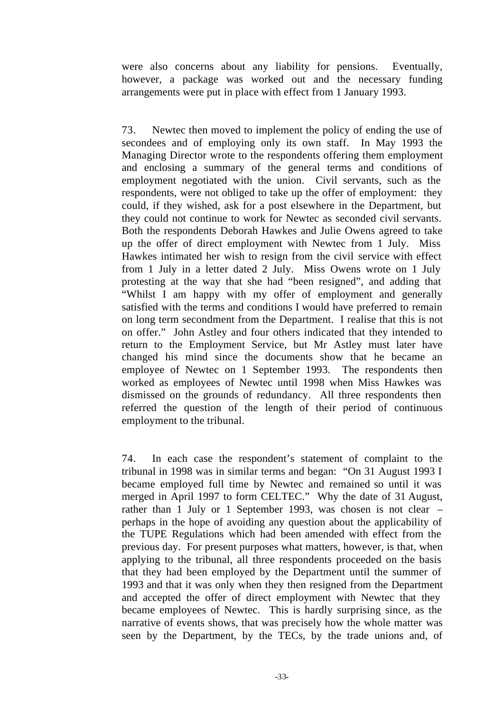were also concerns about any liability for pensions. Eventually, however, a package was worked out and the necessary funding arrangements were put in place with effect from 1 January 1993.

73. Newtec then moved to implement the policy of ending the use of secondees and of employing only its own staff. In May 1993 the Managing Director wrote to the respondents offering them employment and enclosing a summary of the general terms and conditions of employment negotiated with the union. Civil servants, such as the respondents, were not obliged to take up the offer of employment: they could, if they wished, ask for a post elsewhere in the Department, but they could not continue to work for Newtec as seconded civil servants. Both the respondents Deborah Hawkes and Julie Owens agreed to take up the offer of direct employment with Newtec from 1 July. Miss Hawkes intimated her wish to resign from the civil service with effect from 1 July in a letter dated 2 July. Miss Owens wrote on 1 July protesting at the way that she had "been resigned", and adding that "Whilst I am happy with my offer of employment and generally satisfied with the terms and conditions I would have preferred to remain on long term secondment from the Department. I realise that this is not on offer." John Astley and four others indicated that they intended to return to the Employment Service, but Mr Astley must later have changed his mind since the documents show that he became an employee of Newtec on 1 September 1993. The respondents then worked as employees of Newtec until 1998 when Miss Hawkes was dismissed on the grounds of redundancy. All three respondents then referred the question of the length of their period of continuous employment to the tribunal.

74. In each case the respondent's statement of complaint to the tribunal in 1998 was in similar terms and began: "On 31 August 1993 I became employed full time by Newtec and remained so until it was merged in April 1997 to form CELTEC." Why the date of 31 August, rather than 1 July or 1 September 1993, was chosen is not clear – perhaps in the hope of avoiding any question about the applicability of the TUPE Regulations which had been amended with effect from the previous day. For present purposes what matters, however, is that, when applying to the tribunal, all three respondents proceeded on the basis that they had been employed by the Department until the summer of 1993 and that it was only when they then resigned from the Department and accepted the offer of direct employment with Newtec that they became employees of Newtec. This is hardly surprising since, as the narrative of events shows, that was precisely how the whole matter was seen by the Department, by the TECs, by the trade unions and, of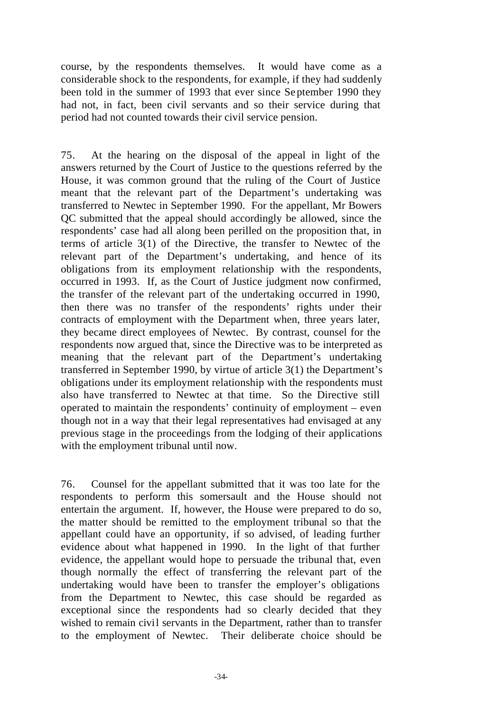course, by the respondents themselves. It would have come as a considerable shock to the respondents, for example, if they had suddenly been told in the summer of 1993 that ever since Se ptember 1990 they had not, in fact, been civil servants and so their service during that period had not counted towards their civil service pension.

75. At the hearing on the disposal of the appeal in light of the answers returned by the Court of Justice to the questions referred by the House, it was common ground that the ruling of the Court of Justice meant that the relevant part of the Department's undertaking was transferred to Newtec in September 1990. For the appellant, Mr Bowers QC submitted that the appeal should accordingly be allowed, since the respondents' case had all along been perilled on the proposition that, in terms of article 3(1) of the Directive, the transfer to Newtec of the relevant part of the Department's undertaking, and hence of its obligations from its employment relationship with the respondents, occurred in 1993. If, as the Court of Justice judgment now confirmed, the transfer of the relevant part of the undertaking occurred in 1990, then there was no transfer of the respondents' rights under their contracts of employment with the Department when, three years later, they became direct employees of Newtec. By contrast, counsel for the respondents now argued that, since the Directive was to be interpreted as meaning that the relevant part of the Department's undertaking transferred in September 1990, by virtue of article 3(1) the Department's obligations under its employment relationship with the respondents must also have transferred to Newtec at that time. So the Directive still operated to maintain the respondents' continuity of employment – even though not in a way that their legal representatives had envisaged at any previous stage in the proceedings from the lodging of their applications with the employment tribunal until now.

76. Counsel for the appellant submitted that it was too late for the respondents to perform this somersault and the House should not entertain the argument. If, however, the House were prepared to do so, the matter should be remitted to the employment tribunal so that the appellant could have an opportunity, if so advised, of leading further evidence about what happened in 1990. In the light of that further evidence, the appellant would hope to persuade the tribunal that, even though normally the effect of transferring the relevant part of the undertaking would have been to transfer the employer's obligations from the Department to Newtec, this case should be regarded as exceptional since the respondents had so clearly decided that they wished to remain civil servants in the Department, rather than to transfer to the employment of Newtec. Their deliberate choice should be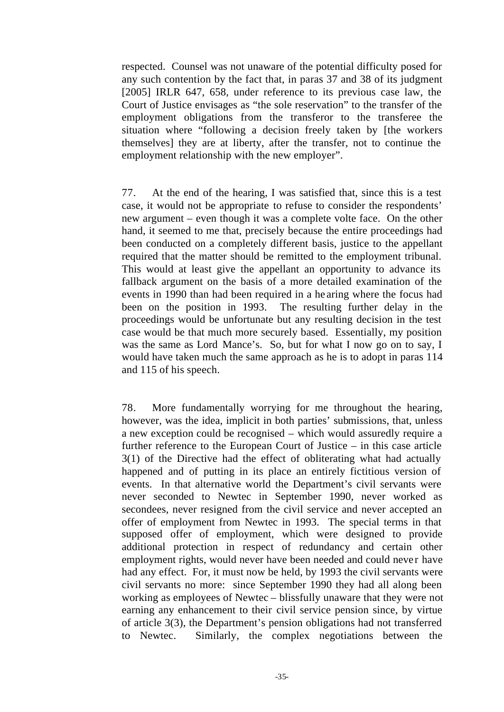respected. Counsel was not unaware of the potential difficulty posed for any such contention by the fact that, in paras 37 and 38 of its judgment [2005] IRLR 647, 658, under reference to its previous case law, the Court of Justice envisages as "the sole reservation" to the transfer of the employment obligations from the transferor to the transferee the situation where "following a decision freely taken by [the workers themselves] they are at liberty, after the transfer, not to continue the employment relationship with the new employer".

77. At the end of the hearing, I was satisfied that, since this is a test case, it would not be appropriate to refuse to consider the respondents' new argument – even though it was a complete volte face. On the other hand, it seemed to me that, precisely because the entire proceedings had been conducted on a completely different basis, justice to the appellant required that the matter should be remitted to the employment tribunal. This would at least give the appellant an opportunity to advance its fallback argument on the basis of a more detailed examination of the events in 1990 than had been required in a he aring where the focus had been on the position in 1993. The resulting further delay in the proceedings would be unfortunate but any resulting decision in the test case would be that much more securely based. Essentially, my position was the same as Lord Mance's. So, but for what I now go on to say, I would have taken much the same approach as he is to adopt in paras 114 and 115 of his speech.

78. More fundamentally worrying for me throughout the hearing, however, was the idea, implicit in both parties' submissions, that, unless a new exception could be recognised – which would assuredly require a further reference to the European Court of Justice – in this case article 3(1) of the Directive had the effect of obliterating what had actually happened and of putting in its place an entirely fictitious version of events. In that alternative world the Department's civil servants were never seconded to Newtec in September 1990, never worked as secondees, never resigned from the civil service and never accepted an offer of employment from Newtec in 1993. The special terms in that supposed offer of employment, which were designed to provide additional protection in respect of redundancy and certain other employment rights, would never have been needed and could never have had any effect. For, it must now be held, by 1993 the civil servants were civil servants no more: since September 1990 they had all along been working as employees of Newtec – blissfully unaware that they were not earning any enhancement to their civil service pension since, by virtue of article 3(3), the Department's pension obligations had not transferred to Newtec. Similarly, the complex negotiations between the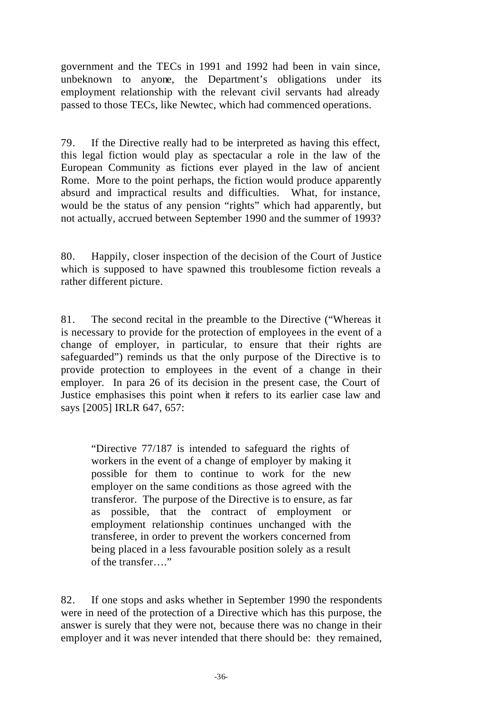government and the TECs in 1991 and 1992 had been in vain since, unbeknown to anyone, the Department's obligations under its employment relationship with the relevant civil servants had already passed to those TECs, like Newtec, which had commenced operations.

79. If the Directive really had to be interpreted as having this effect, this legal fiction would play as spectacular a role in the law of the European Community as fictions ever played in the law of ancient Rome. More to the point perhaps, the fiction would produce apparently absurd and impractical results and difficulties. What, for instance, would be the status of any pension "rights" which had apparently, but not actually, accrued between September 1990 and the summer of 1993?

80. Happily, closer inspection of the decision of the Court of Justice which is supposed to have spawned this troublesome fiction reveals a rather different picture.

81. The second recital in the preamble to the Directive ("Whereas it is necessary to provide for the protection of employees in the event of a change of employer, in particular, to ensure that their rights are safeguarded") reminds us that the only purpose of the Directive is to provide protection to employees in the event of a change in their employer. In para 26 of its decision in the present case, the Court of Justice emphasises this point when it refers to its earlier case law and says [2005] IRLR 647, 657:

"Directive 77/187 is intended to safeguard the rights of workers in the event of a change of employer by making it possible for them to continue to work for the new employer on the same conditions as those agreed with the transferor. The purpose of the Directive is to ensure, as far as possible, that the contract of employment or employment relationship continues unchanged with the transferee, in order to prevent the workers concerned from being placed in a less favourable position solely as a result of the transfer…."

82. If one stops and asks whether in September 1990 the respondents were in need of the protection of a Directive which has this purpose, the answer is surely that they were not, because there was no change in their employer and it was never intended that there should be: they remained,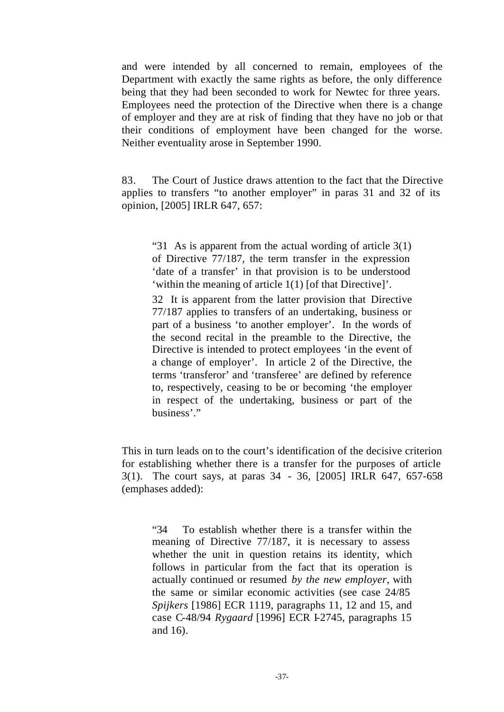and were intended by all concerned to remain, employees of the Department with exactly the same rights as before, the only difference being that they had been seconded to work for Newtec for three years. Employees need the protection of the Directive when there is a change of employer and they are at risk of finding that they have no job or that their conditions of employment have been changed for the worse. Neither eventuality arose in September 1990.

83. The Court of Justice draws attention to the fact that the Directive applies to transfers "to another employer" in paras 31 and 32 of its opinion, [2005] IRLR 647, 657:

"31 As is apparent from the actual wording of article 3(1) of Directive 77/187, the term transfer in the expression 'date of a transfer' in that provision is to be understood 'within the meaning of article 1(1) [of that Directive]'.

32 It is apparent from the latter provision that Directive 77/187 applies to transfers of an undertaking, business or part of a business 'to another employer'. In the words of the second recital in the preamble to the Directive, the Directive is intended to protect employees 'in the event of a change of employer'. In article 2 of the Directive, the terms 'transferor' and 'transferee' are defined by reference to, respectively, ceasing to be or becoming 'the employer in respect of the undertaking, business or part of the business'."

This in turn leads on to the court's identification of the decisive criterion for establishing whether there is a transfer for the purposes of article 3(1). The court says, at paras 34 - 36, [2005] IRLR 647, 657-658 (emphases added):

"34 To establish whether there is a transfer within the meaning of Directive 77/187, it is necessary to assess whether the unit in question retains its identity, which follows in particular from the fact that its operation is actually continued or resumed *by the new employer*, with the same or similar economic activities (see case 24/85 *Spijkers* [1986] ECR 1119, paragraphs 11, 12 and 15, and case C-48/94 *Rygaard* [1996] ECR I-2745, paragraphs 15 and 16).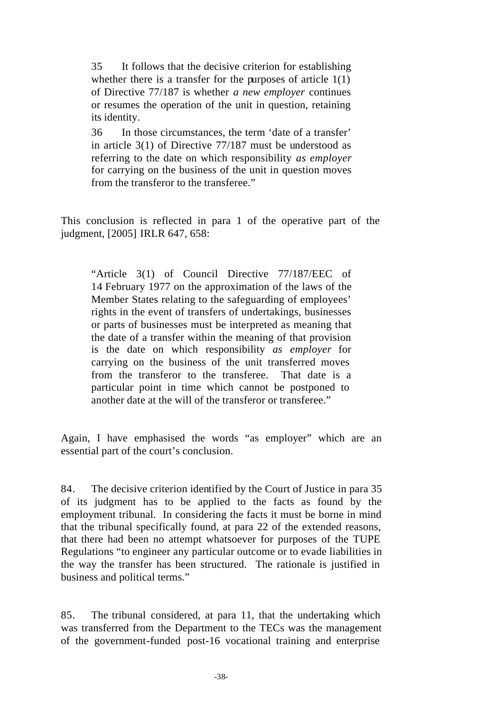35 It follows that the decisive criterion for establishing whether there is a transfer for the purposes of article 1(1) of Directive 77/187 is whether *a new employer* continues or resumes the operation of the unit in question, retaining its identity.

36 In those circumstances, the term 'date of a transfer' in article 3(1) of Directive 77/187 must be understood as referring to the date on which responsibility *as employer* for carrying on the business of the unit in question moves from the transferor to the transferee."

This conclusion is reflected in para 1 of the operative part of the judgment, [2005] IRLR 647, 658:

"Article 3(1) of Council Directive 77/187/EEC of 14 February 1977 on the approximation of the laws of the Member States relating to the safeguarding of employees' rights in the event of transfers of undertakings, businesses or parts of businesses must be interpreted as meaning that the date of a transfer within the meaning of that provision is the date on which responsibility *as employer* for carrying on the business of the unit transferred moves from the transferor to the transferee. That date is a particular point in time which cannot be postponed to another date at the will of the transferor or transferee."

Again, I have emphasised the words "as employer" which are an essential part of the court's conclusion.

84. The decisive criterion identified by the Court of Justice in para 35 of its judgment has to be applied to the facts as found by the employment tribunal. In considering the facts it must be borne in mind that the tribunal specifically found, at para 22 of the extended reasons, that there had been no attempt whatsoever for purposes of the TUPE Regulations "to engineer any particular outcome or to evade liabilities in the way the transfer has been structured. The rationale is justified in business and political terms."

85. The tribunal considered, at para 11, that the undertaking which was transferred from the Department to the TECs was the management of the government-funded post-16 vocational training and enterprise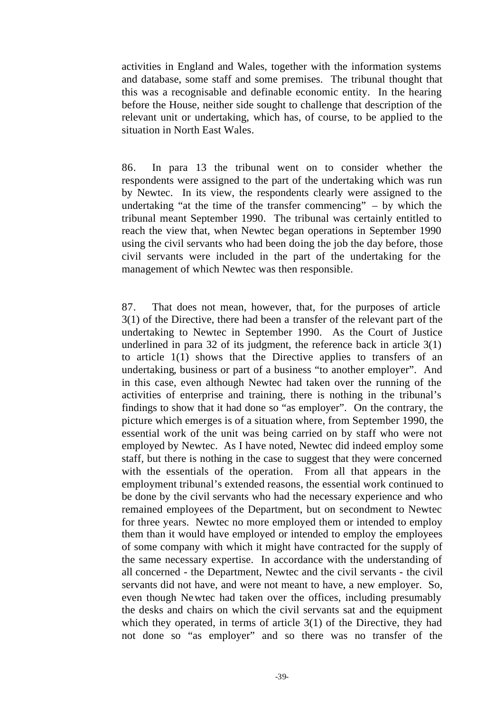activities in England and Wales, together with the information systems and database, some staff and some premises. The tribunal thought that this was a recognisable and definable economic entity. In the hearing before the House, neither side sought to challenge that description of the relevant unit or undertaking, which has, of course, to be applied to the situation in North East Wales.

86. In para 13 the tribunal went on to consider whether the respondents were assigned to the part of the undertaking which was run by Newtec. In its view, the respondents clearly were assigned to the undertaking "at the time of the transfer commencing"  $-$  by which the tribunal meant September 1990. The tribunal was certainly entitled to reach the view that, when Newtec began operations in September 1990 using the civil servants who had been doing the job the day before, those civil servants were included in the part of the undertaking for the management of which Newtec was then responsible.

87. That does not mean, however, that, for the purposes of article 3(1) of the Directive, there had been a transfer of the relevant part of the undertaking to Newtec in September 1990. As the Court of Justice underlined in para 32 of its judgment, the reference back in article 3(1) to article 1(1) shows that the Directive applies to transfers of an undertaking, business or part of a business "to another employer". And in this case, even although Newtec had taken over the running of the activities of enterprise and training, there is nothing in the tribunal's findings to show that it had done so "as employer". On the contrary, the picture which emerges is of a situation where, from September 1990, the essential work of the unit was being carried on by staff who were not employed by Newtec. As I have noted, Newtec did indeed employ some staff, but there is nothing in the case to suggest that they were concerned with the essentials of the operation. From all that appears in the employment tribunal's extended reasons, the essential work continued to be done by the civil servants who had the necessary experience and who remained employees of the Department, but on secondment to Newtec for three years. Newtec no more employed them or intended to employ them than it would have employed or intended to employ the employees of some company with which it might have contracted for the supply of the same necessary expertise. In accordance with the understanding of all concerned - the Department, Newtec and the civil servants - the civil servants did not have, and were not meant to have, a new employer. So, even though Newtec had taken over the offices, including presumably the desks and chairs on which the civil servants sat and the equipment which they operated, in terms of article 3(1) of the Directive, they had not done so "as employer" and so there was no transfer of the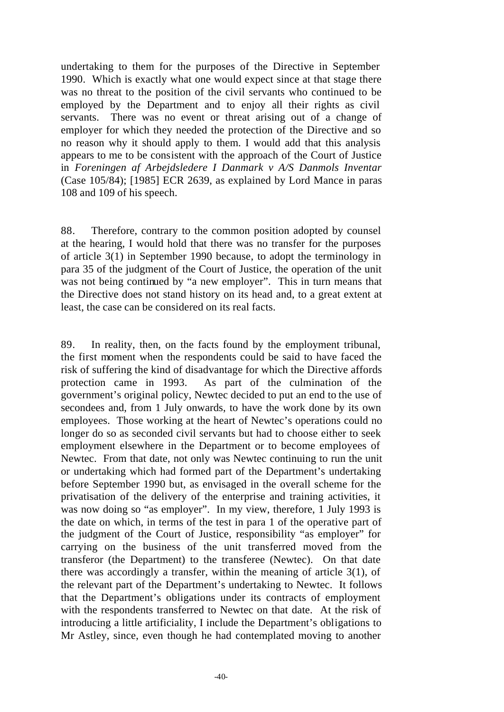undertaking to them for the purposes of the Directive in September 1990. Which is exactly what one would expect since at that stage there was no threat to the position of the civil servants who continued to be employed by the Department and to enjoy all their rights as civil servants. There was no event or threat arising out of a change of employer for which they needed the protection of the Directive and so no reason why it should apply to them. I would add that this analysis appears to me to be consistent with the approach of the Court of Justice in *Foreningen af Arbejdsledere I Danmark v A/S Danmols Inventar*  (Case 105/84); [1985] ECR 2639, as explained by Lord Mance in paras 108 and 109 of his speech.

88. Therefore, contrary to the common position adopted by counsel at the hearing, I would hold that there was no transfer for the purposes of article 3(1) in September 1990 because, to adopt the terminology in para 35 of the judgment of the Court of Justice, the operation of the unit was not being continued by "a new employer". This in turn means that the Directive does not stand history on its head and, to a great extent at least, the case can be considered on its real facts.

89. In reality, then, on the facts found by the employment tribunal, the first moment when the respondents could be said to have faced the risk of suffering the kind of disadvantage for which the Directive affords protection came in 1993. As part of the culmination of the government's original policy, Newtec decided to put an end to the use of secondees and, from 1 July onwards, to have the work done by its own employees. Those working at the heart of Newtec's operations could no longer do so as seconded civil servants but had to choose either to seek employment elsewhere in the Department or to become employees of Newtec. From that date, not only was Newtec continuing to run the unit or undertaking which had formed part of the Department's undertaking before September 1990 but, as envisaged in the overall scheme for the privatisation of the delivery of the enterprise and training activities, it was now doing so "as employer". In my view, therefore, 1 July 1993 is the date on which, in terms of the test in para 1 of the operative part of the judgment of the Court of Justice, responsibility "as employer" for carrying on the business of the unit transferred moved from the transferor (the Department) to the transferee (Newtec). On that date there was accordingly a transfer, within the meaning of article 3(1), of the relevant part of the Department's undertaking to Newtec. It follows that the Department's obligations under its contracts of employment with the respondents transferred to Newtec on that date. At the risk of introducing a little artificiality, I include the Department's obligations to Mr Astley, since, even though he had contemplated moving to another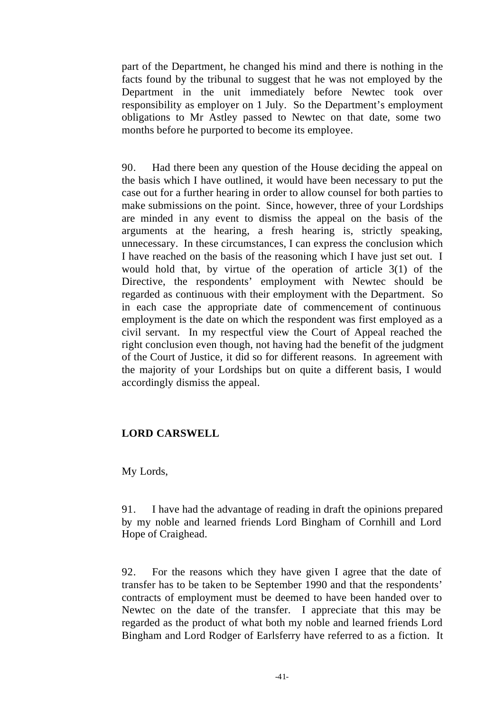part of the Department, he changed his mind and there is nothing in the facts found by the tribunal to suggest that he was not employed by the Department in the unit immediately before Newtec took over responsibility as employer on 1 July. So the Department's employment obligations to Mr Astley passed to Newtec on that date, some two months before he purported to become its employee.

90. Had there been any question of the House deciding the appeal on the basis which I have outlined, it would have been necessary to put the case out for a further hearing in order to allow counsel for both parties to make submissions on the point. Since, however, three of your Lordships are minded in any event to dismiss the appeal on the basis of the arguments at the hearing, a fresh hearing is, strictly speaking, unnecessary. In these circumstances, I can express the conclusion which I have reached on the basis of the reasoning which I have just set out. I would hold that, by virtue of the operation of article 3(1) of the Directive, the respondents' employment with Newtec should be regarded as continuous with their employment with the Department. So in each case the appropriate date of commencement of continuous employment is the date on which the respondent was first employed as a civil servant. In my respectful view the Court of Appeal reached the right conclusion even though, not having had the benefit of the judgment of the Court of Justice, it did so for different reasons. In agreement with the majority of your Lordships but on quite a different basis, I would accordingly dismiss the appeal.

## **LORD CARSWELL**

My Lords,

91. I have had the advantage of reading in draft the opinions prepared by my noble and learned friends Lord Bingham of Cornhill and Lord Hope of Craighead.

92. For the reasons which they have given I agree that the date of transfer has to be taken to be September 1990 and that the respondents' contracts of employment must be deemed to have been handed over to Newtec on the date of the transfer. I appreciate that this may be regarded as the product of what both my noble and learned friends Lord Bingham and Lord Rodger of Earlsferry have referred to as a fiction. It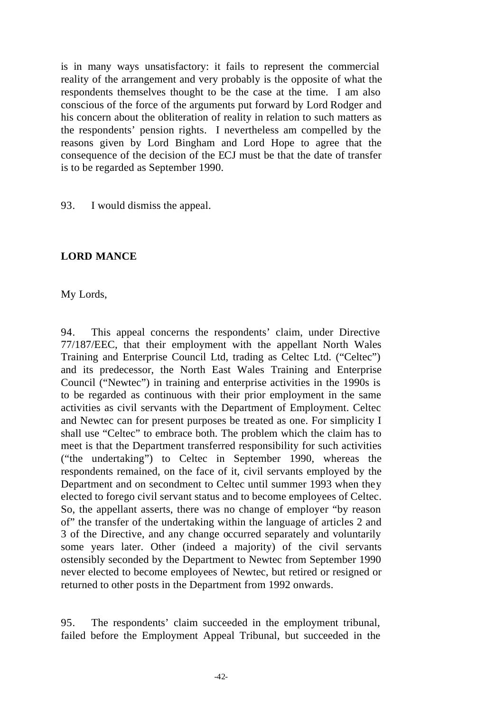is in many ways unsatisfactory: it fails to represent the commercial reality of the arrangement and very probably is the opposite of what the respondents themselves thought to be the case at the time. I am also conscious of the force of the arguments put forward by Lord Rodger and his concern about the obliteration of reality in relation to such matters as the respondents' pension rights. I nevertheless am compelled by the reasons given by Lord Bingham and Lord Hope to agree that the consequence of the decision of the ECJ must be that the date of transfer is to be regarded as September 1990.

93. I would dismiss the appeal.

# **LORD MANCE**

My Lords,

94. This appeal concerns the respondents' claim, under Directive 77/187/EEC, that their employment with the appellant North Wales Training and Enterprise Council Ltd, trading as Celtec Ltd. ("Celtec") and its predecessor, the North East Wales Training and Enterprise Council ("Newtec") in training and enterprise activities in the 1990s is to be regarded as continuous with their prior employment in the same activities as civil servants with the Department of Employment. Celtec and Newtec can for present purposes be treated as one. For simplicity I shall use "Celtec" to embrace both. The problem which the claim has to meet is that the Department transferred responsibility for such activities ("the undertaking") to Celtec in September 1990, whereas the respondents remained, on the face of it, civil servants employed by the Department and on secondment to Celtec until summer 1993 when they elected to forego civil servant status and to become employees of Celtec. So, the appellant asserts, there was no change of employer "by reason of" the transfer of the undertaking within the language of articles 2 and 3 of the Directive, and any change occurred separately and voluntarily some years later. Other (indeed a majority) of the civil servants ostensibly seconded by the Department to Newtec from September 1990 never elected to become employees of Newtec, but retired or resigned or returned to other posts in the Department from 1992 onwards.

95. The respondents' claim succeeded in the employment tribunal, failed before the Employment Appeal Tribunal, but succeeded in the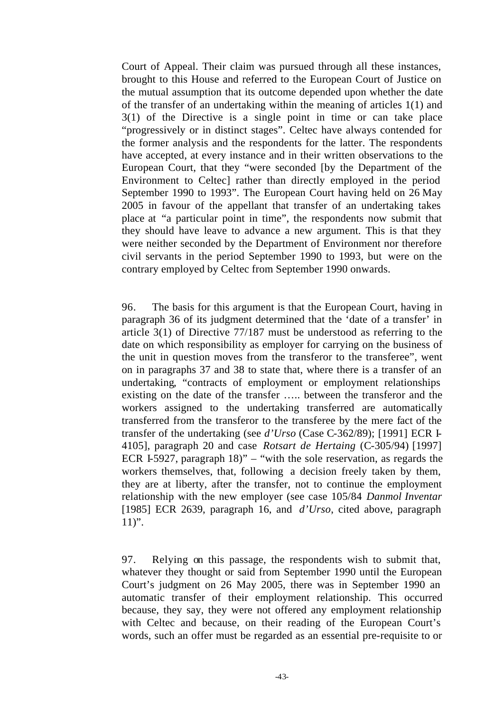Court of Appeal. Their claim was pursued through all these instances, brought to this House and referred to the European Court of Justice on the mutual assumption that its outcome depended upon whether the date of the transfer of an undertaking within the meaning of articles 1(1) and 3(1) of the Directive is a single point in time or can take place "progressively or in distinct stages". Celtec have always contended for the former analysis and the respondents for the latter. The respondents have accepted, at every instance and in their written observations to the European Court, that they "were seconded [by the Department of the Environment to Celtec] rather than directly employed in the period September 1990 to 1993". The European Court having held on 26 May 2005 in favour of the appellant that transfer of an undertaking takes place at "a particular point in time", the respondents now submit that they should have leave to advance a new argument. This is that they were neither seconded by the Department of Environment nor therefore civil servants in the period September 1990 to 1993, but were on the contrary employed by Celtec from September 1990 onwards.

96. The basis for this argument is that the European Court, having in paragraph 36 of its judgment determined that the 'date of a transfer' in article 3(1) of Directive 77/187 must be understood as referring to the date on which responsibility as employer for carrying on the business of the unit in question moves from the transferor to the transferee", went on in paragraphs 37 and 38 to state that, where there is a transfer of an undertaking, "contracts of employment or employment relationships existing on the date of the transfer ….. between the transferor and the workers assigned to the undertaking transferred are automatically transferred from the transferor to the transferee by the mere fact of the transfer of the undertaking (see *d'Urso* (Case C-362/89); [1991] ECR I-4105], paragraph 20 and case *Rotsart de Hertaing* (C-305/94) [1997] ECR I-5927, paragraph 18)" – "with the sole reservation, as regards the workers themselves, that, following a decision freely taken by them, they are at liberty, after the transfer, not to continue the employment relationship with the new employer (see case 105/84 *Danmol Inventar*  [1985] ECR 2639, paragraph 16, and *d'Urso*, cited above, paragraph  $11$ ".

97. Relying on this passage, the respondents wish to submit that, whatever they thought or said from September 1990 until the European Court's judgment on 26 May 2005, there was in September 1990 an automatic transfer of their employment relationship. This occurred because, they say, they were not offered any employment relationship with Celtec and because, on their reading of the European Court's words, such an offer must be regarded as an essential pre-requisite to or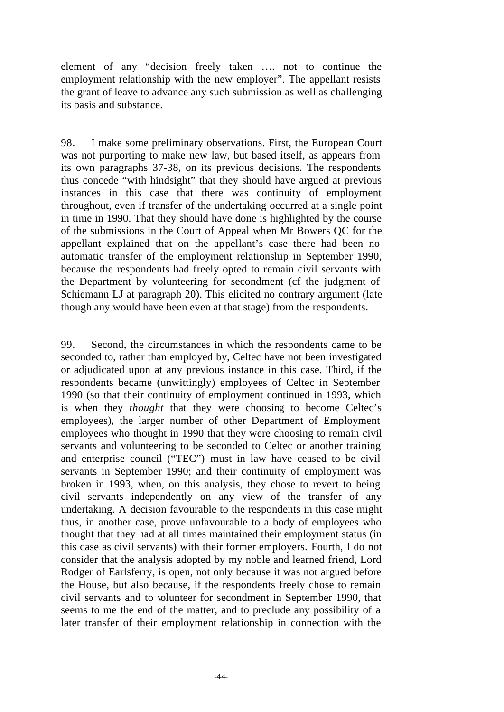element of any "decision freely taken …. not to continue the employment relationship with the new employer". The appellant resists the grant of leave to advance any such submission as well as challenging its basis and substance.

98. I make some preliminary observations. First, the European Court was not purporting to make new law, but based itself, as appears from its own paragraphs 37-38, on its previous decisions. The respondents thus concede "with hindsight" that they should have argued at previous instances in this case that there was continuity of employment throughout, even if transfer of the undertaking occurred at a single point in time in 1990. That they should have done is highlighted by the course of the submissions in the Court of Appeal when Mr Bowers QC for the appellant explained that on the appellant's case there had been no automatic transfer of the employment relationship in September 1990, because the respondents had freely opted to remain civil servants with the Department by volunteering for secondment (cf the judgment of Schiemann LJ at paragraph 20). This elicited no contrary argument (late though any would have been even at that stage) from the respondents.

99. Second, the circumstances in which the respondents came to be seconded to, rather than employed by, Celtec have not been investigated or adjudicated upon at any previous instance in this case. Third, if the respondents became (unwittingly) employees of Celtec in September 1990 (so that their continuity of employment continued in 1993, which is when they *thought* that they were choosing to become Celtec's employees), the larger number of other Department of Employment employees who thought in 1990 that they were choosing to remain civil servants and volunteering to be seconded to Celtec or another training and enterprise council ("TEC") must in law have ceased to be civil servants in September 1990; and their continuity of employment was broken in 1993, when, on this analysis, they chose to revert to being civil servants independently on any view of the transfer of any undertaking. A decision favourable to the respondents in this case might thus, in another case, prove unfavourable to a body of employees who thought that they had at all times maintained their employment status (in this case as civil servants) with their former employers. Fourth, I do not consider that the analysis adopted by my noble and learned friend, Lord Rodger of Earlsferry, is open, not only because it was not argued before the House, but also because, if the respondents freely chose to remain civil servants and to volunteer for secondment in September 1990, that seems to me the end of the matter, and to preclude any possibility of a later transfer of their employment relationship in connection with the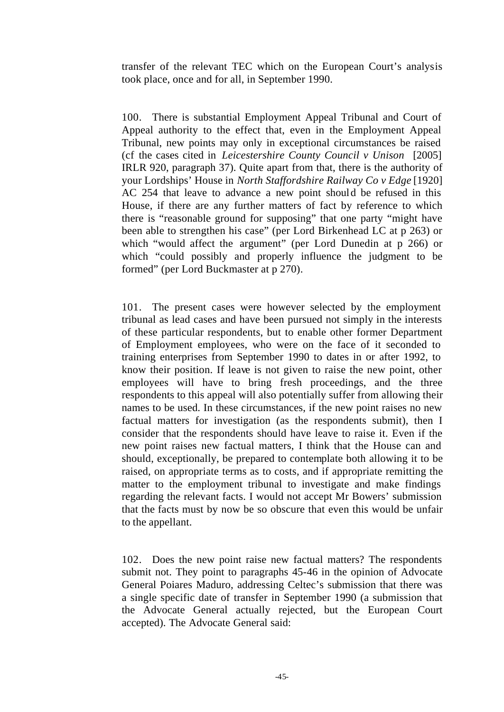transfer of the relevant TEC which on the European Court's analysis took place, once and for all, in September 1990.

100. There is substantial Employment Appeal Tribunal and Court of Appeal authority to the effect that, even in the Employment Appeal Tribunal, new points may only in exceptional circumstances be raised (cf the cases cited in *Leicestershire County Council v Unison* [2005] IRLR 920, paragraph 37). Quite apart from that, there is the authority of your Lordships' House in *North Staffordshire Railway Co v Edge* [1920] AC 254 that leave to advance a new point should be refused in this House, if there are any further matters of fact by reference to which there is "reasonable ground for supposing" that one party "might have been able to strengthen his case" (per Lord Birkenhead LC at p 263) or which "would affect the argument" (per Lord Dunedin at p 266) or which "could possibly and properly influence the judgment to be formed" (per Lord Buckmaster at p 270).

101. The present cases were however selected by the employment tribunal as lead cases and have been pursued not simply in the interests of these particular respondents, but to enable other former Department of Employment employees, who were on the face of it seconded to training enterprises from September 1990 to dates in or after 1992, to know their position. If leave is not given to raise the new point, other employees will have to bring fresh proceedings, and the three respondents to this appeal will also potentially suffer from allowing their names to be used. In these circumstances, if the new point raises no new factual matters for investigation (as the respondents submit), then I consider that the respondents should have leave to raise it. Even if the new point raises new factual matters, I think that the House can and should, exceptionally, be prepared to contemplate both allowing it to be raised, on appropriate terms as to costs, and if appropriate remitting the matter to the employment tribunal to investigate and make findings regarding the relevant facts. I would not accept Mr Bowers' submission that the facts must by now be so obscure that even this would be unfair to the appellant.

102. Does the new point raise new factual matters? The respondents submit not. They point to paragraphs 45-46 in the opinion of Advocate General Poiares Maduro, addressing Celtec's submission that there was a single specific date of transfer in September 1990 (a submission that the Advocate General actually rejected, but the European Court accepted). The Advocate General said: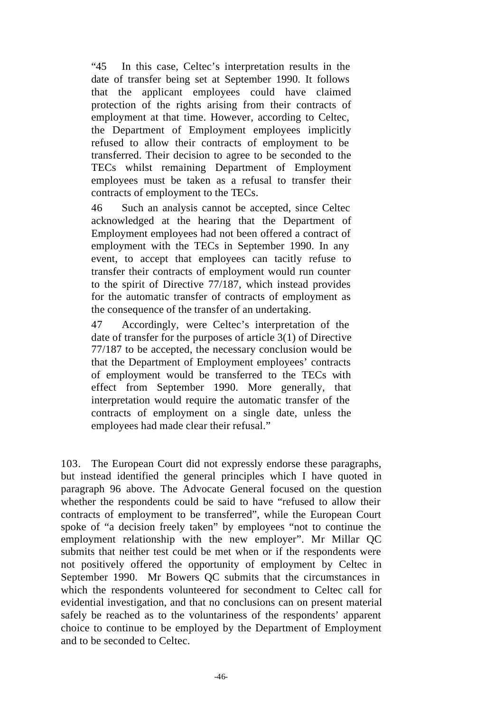"45 In this case, Celtec's interpretation results in the date of transfer being set at September 1990. It follows that the applicant employees could have claimed protection of the rights arising from their contracts of employment at that time. However, according to Celtec, the Department of Employment employees implicitly refused to allow their contracts of employment to be transferred. Their decision to agree to be seconded to the TECs whilst remaining Department of Employment employees must be taken as a refusal to transfer their contracts of employment to the TECs.

46 Such an analysis cannot be accepted, since Celtec acknowledged at the hearing that the Department of Employment employees had not been offered a contract of employment with the TECs in September 1990. In any event, to accept that employees can tacitly refuse to transfer their contracts of employment would run counter to the spirit of Directive 77/187, which instead provides for the automatic transfer of contracts of employment as the consequence of the transfer of an undertaking.

47 Accordingly, were Celtec's interpretation of the date of transfer for the purposes of article 3(1) of Directive 77/187 to be accepted, the necessary conclusion would be that the Department of Employment employees' contracts of employment would be transferred to the TECs with effect from September 1990. More generally, that interpretation would require the automatic transfer of the contracts of employment on a single date, unless the employees had made clear their refusal."

103. The European Court did not expressly endorse these paragraphs, but instead identified the general principles which I have quoted in paragraph 96 above. The Advocate General focused on the question whether the respondents could be said to have "refused to allow their contracts of employment to be transferred", while the European Court spoke of "a decision freely taken" by employees "not to continue the employment relationship with the new employer". Mr Millar QC submits that neither test could be met when or if the respondents were not positively offered the opportunity of employment by Celtec in September 1990. Mr Bowers QC submits that the circumstances in which the respondents volunteered for secondment to Celtec call for evidential investigation, and that no conclusions can on present material safely be reached as to the voluntariness of the respondents' apparent choice to continue to be employed by the Department of Employment and to be seconded to Celtec.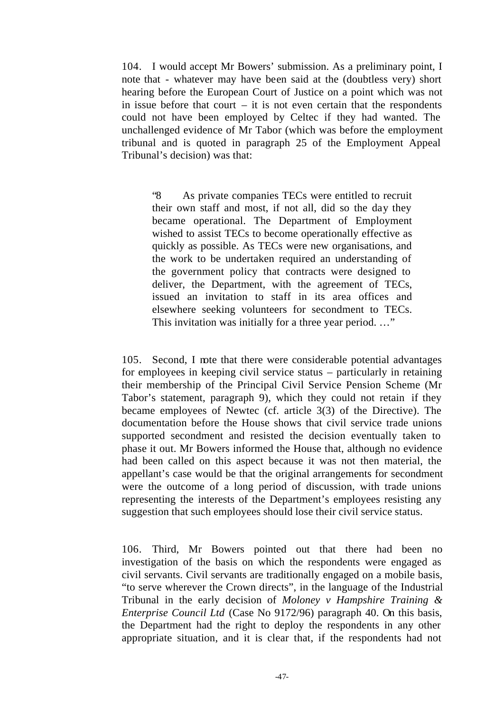104. I would accept Mr Bowers' submission. As a preliminary point, I note that - whatever may have been said at the (doubtless very) short hearing before the European Court of Justice on a point which was not in issue before that court  $-$  it is not even certain that the respondents could not have been employed by Celtec if they had wanted. The unchallenged evidence of Mr Tabor (which was before the employment tribunal and is quoted in paragraph 25 of the Employment Appeal Tribunal's decision) was that:

"8 As private companies TECs were entitled to recruit their own staff and most, if not all, did so the day they became operational. The Department of Employment wished to assist TECs to become operationally effective as quickly as possible. As TECs were new organisations, and the work to be undertaken required an understanding of the government policy that contracts were designed to deliver, the Department, with the agreement of TECs, issued an invitation to staff in its area offices and elsewhere seeking volunteers for secondment to TECs. This invitation was initially for a three year period. ..."

105. Second, I note that there were considerable potential advantages for employees in keeping civil service status – particularly in retaining their membership of the Principal Civil Service Pension Scheme (Mr Tabor's statement, paragraph 9), which they could not retain if they became employees of Newtec (cf. article 3(3) of the Directive). The documentation before the House shows that civil service trade unions supported secondment and resisted the decision eventually taken to phase it out. Mr Bowers informed the House that, although no evidence had been called on this aspect because it was not then material, the appellant's case would be that the original arrangements for secondment were the outcome of a long period of discussion, with trade unions representing the interests of the Department's employees resisting any suggestion that such employees should lose their civil service status.

106. Third, Mr Bowers pointed out that there had been no investigation of the basis on which the respondents were engaged as civil servants. Civil servants are traditionally engaged on a mobile basis, "to serve wherever the Crown directs", in the language of the Industrial Tribunal in the early decision of *Moloney v Hampshire Training & Enterprise Council Ltd* (Case No 9172/96) paragraph 40. On this basis, the Department had the right to deploy the respondents in any other appropriate situation, and it is clear that, if the respondents had not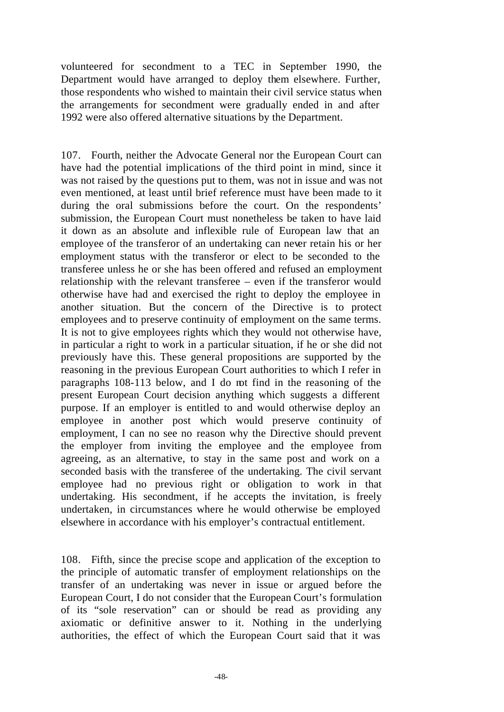volunteered for secondment to a TEC in September 1990, the Department would have arranged to deploy them elsewhere. Further, those respondents who wished to maintain their civil service status when the arrangements for secondment were gradually ended in and after 1992 were also offered alternative situations by the Department.

107. Fourth, neither the Advocate General nor the European Court can have had the potential implications of the third point in mind, since it was not raised by the questions put to them, was not in issue and was not even mentioned, at least until brief reference must have been made to it during the oral submissions before the court. On the respondents' submission, the European Court must nonetheless be taken to have laid it down as an absolute and inflexible rule of European law that an employee of the transferor of an undertaking can never retain his or her employment status with the transferor or elect to be seconded to the transferee unless he or she has been offered and refused an employment relationship with the relevant transferee – even if the transferor would otherwise have had and exercised the right to deploy the employee in another situation. But the concern of the Directive is to protect employees and to preserve continuity of employment on the same terms. It is not to give employees rights which they would not otherwise have, in particular a right to work in a particular situation, if he or she did not previously have this. These general propositions are supported by the reasoning in the previous European Court authorities to which I refer in paragraphs 108-113 below, and I do not find in the reasoning of the present European Court decision anything which suggests a different purpose. If an employer is entitled to and would otherwise deploy an employee in another post which would preserve continuity of employment, I can no see no reason why the Directive should prevent the employer from inviting the employee and the employee from agreeing, as an alternative, to stay in the same post and work on a seconded basis with the transferee of the undertaking. The civil servant employee had no previous right or obligation to work in that undertaking. His secondment, if he accepts the invitation, is freely undertaken, in circumstances where he would otherwise be employed elsewhere in accordance with his employer's contractual entitlement.

108. Fifth, since the precise scope and application of the exception to the principle of automatic transfer of employment relationships on the transfer of an undertaking was never in issue or argued before the European Court, I do not consider that the European Court's formulation of its "sole reservation" can or should be read as providing any axiomatic or definitive answer to it. Nothing in the underlying authorities, the effect of which the European Court said that it was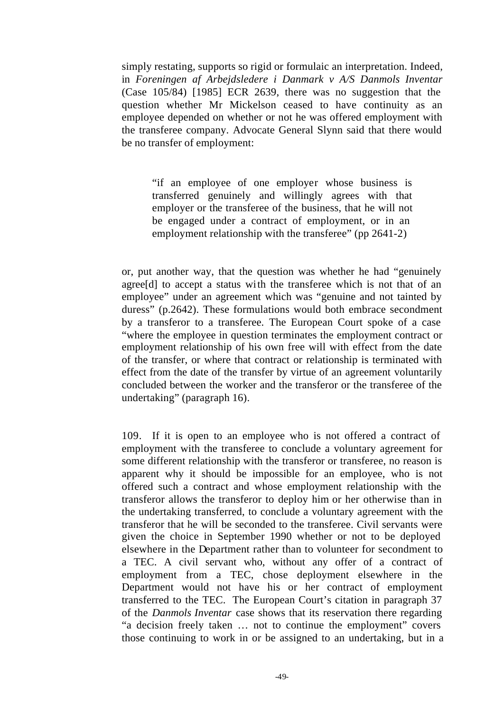simply restating, supports so rigid or formulaic an interpretation. Indeed, in *Foreningen af Arbejdsledere i Danmark v A/S Danmols Inventar* (Case 105/84) [1985] ECR 2639, there was no suggestion that the question whether Mr Mickelson ceased to have continuity as an employee depended on whether or not he was offered employment with the transferee company. Advocate General Slynn said that there would be no transfer of employment:

"if an employee of one employer whose business is transferred genuinely and willingly agrees with that employer or the transferee of the business, that he will not be engaged under a contract of employment, or in an employment relationship with the transferee" (pp 2641-2)

or, put another way, that the question was whether he had "genuinely agree[d] to accept a status with the transferee which is not that of an employee" under an agreement which was "genuine and not tainted by duress" (p.2642). These formulations would both embrace secondment by a transferor to a transferee. The European Court spoke of a case "where the employee in question terminates the employment contract or employment relationship of his own free will with effect from the date of the transfer, or where that contract or relationship is terminated with effect from the date of the transfer by virtue of an agreement voluntarily concluded between the worker and the transferor or the transferee of the undertaking" (paragraph 16).

109. If it is open to an employee who is not offered a contract of employment with the transferee to conclude a voluntary agreement for some different relationship with the transferor or transferee, no reason is apparent why it should be impossible for an employee, who is not offered such a contract and whose employment relationship with the transferor allows the transferor to deploy him or her otherwise than in the undertaking transferred, to conclude a voluntary agreement with the transferor that he will be seconded to the transferee. Civil servants were given the choice in September 1990 whether or not to be deployed elsewhere in the Department rather than to volunteer for secondment to a TEC. A civil servant who, without any offer of a contract of employment from a TEC, chose deployment elsewhere in the Department would not have his or her contract of employment transferred to the TEC. The European Court's citation in paragraph 37 of the *Danmols Inventar* case shows that its reservation there regarding "a decision freely taken … not to continue the employment" covers those continuing to work in or be assigned to an undertaking, but in a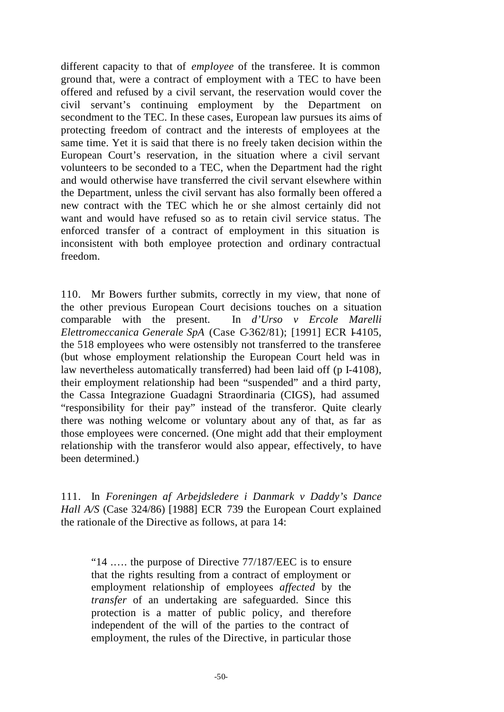different capacity to that of *employee* of the transferee. It is common ground that, were a contract of employment with a TEC to have been offered and refused by a civil servant, the reservation would cover the civil servant's continuing employment by the Department on secondment to the TEC. In these cases, European law pursues its aims of protecting freedom of contract and the interests of employees at the same time. Yet it is said that there is no freely taken decision within the European Court's reservation, in the situation where a civil servant volunteers to be seconded to a TEC, when the Department had the right and would otherwise have transferred the civil servant elsewhere within the Department, unless the civil servant has also formally been offered a new contract with the TEC which he or she almost certainly did not want and would have refused so as to retain civil service status. The enforced transfer of a contract of employment in this situation is inconsistent with both employee protection and ordinary contractual freedom.

110. Mr Bowers further submits, correctly in my view, that none of the other previous European Court decisions touches on a situation comparable with the present. In *d'Urso v Ercole Marelli Elettromeccanica Generale SpA* (Case C-362/81); [1991] ECR I-4105, the 518 employees who were ostensibly not transferred to the transferee (but whose employment relationship the European Court held was in law nevertheless automatically transferred) had been laid off (p I-4108), their employment relationship had been "suspended" and a third party, the Cassa Integrazione Guadagni Straordinaria (CIGS), had assumed "responsibility for their pay" instead of the transferor. Quite clearly there was nothing welcome or voluntary about any of that, as far as those employees were concerned. (One might add that their employment relationship with the transferor would also appear, effectively, to have been determined.)

111. In *Foreningen af Arbejdsledere i Danmark v Daddy's Dance Hall A/S* (Case 324/86) [1988] ECR 739 the European Court explained the rationale of the Directive as follows, at para 14:

"14 .…. the purpose of Directive 77/187/EEC is to ensure that the rights resulting from a contract of employment or employment relationship of employees *affected* by the *transfer* of an undertaking are safeguarded. Since this protection is a matter of public policy, and therefore independent of the will of the parties to the contract of employment, the rules of the Directive, in particular those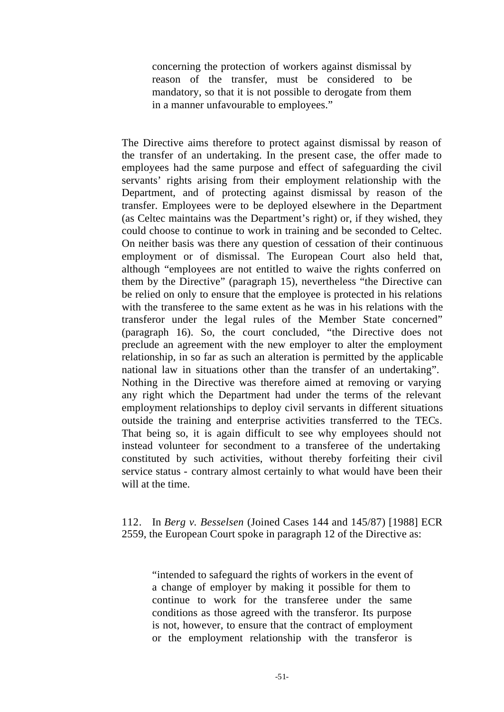concerning the protection of workers against dismissal by reason of the transfer, must be considered to be mandatory, so that it is not possible to derogate from them in a manner unfavourable to employees."

The Directive aims therefore to protect against dismissal by reason of the transfer of an undertaking. In the present case, the offer made to employees had the same purpose and effect of safeguarding the civil servants' rights arising from their employment relationship with the Department, and of protecting against dismissal by reason of the transfer. Employees were to be deployed elsewhere in the Department (as Celtec maintains was the Department's right) or, if they wished, they could choose to continue to work in training and be seconded to Celtec. On neither basis was there any question of cessation of their continuous employment or of dismissal. The European Court also held that, although "employees are not entitled to waive the rights conferred on them by the Directive" (paragraph 15), nevertheless "the Directive can be relied on only to ensure that the employee is protected in his relations with the transferee to the same extent as he was in his relations with the transferor under the legal rules of the Member State concerned" (paragraph 16). So, the court concluded, "the Directive does not preclude an agreement with the new employer to alter the employment relationship, in so far as such an alteration is permitted by the applicable national law in situations other than the transfer of an undertaking". Nothing in the Directive was therefore aimed at removing or varying any right which the Department had under the terms of the relevant employment relationships to deploy civil servants in different situations outside the training and enterprise activities transferred to the TECs. That being so, it is again difficult to see why employees should not instead volunteer for secondment to a transferee of the undertaking constituted by such activities, without thereby forfeiting their civil service status - contrary almost certainly to what would have been their will at the time.

## 112. In *Berg v. Besselsen* (Joined Cases 144 and 145/87) [1988] ECR 2559, the European Court spoke in paragraph 12 of the Directive as:

"intended to safeguard the rights of workers in the event of a change of employer by making it possible for them to continue to work for the transferee under the same conditions as those agreed with the transferor. Its purpose is not, however, to ensure that the contract of employment or the employment relationship with the transferor is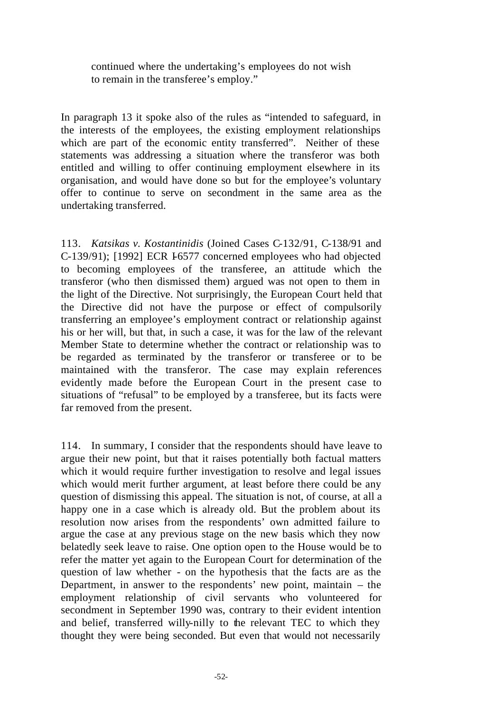continued where the undertaking's employees do not wish to remain in the transferee's employ."

In paragraph 13 it spoke also of the rules as "intended to safeguard, in the interests of the employees, the existing employment relationships which are part of the economic entity transferred". Neither of these statements was addressing a situation where the transferor was both entitled and willing to offer continuing employment elsewhere in its organisation, and would have done so but for the employee's voluntary offer to continue to serve on secondment in the same area as the undertaking transferred.

113. *Katsikas v. Kostantinidis* (Joined Cases C-132/91, C-138/91 and C-139/91); [1992] ECR I-6577 concerned employees who had objected to becoming employees of the transferee, an attitude which the transferor (who then dismissed them) argued was not open to them in the light of the Directive. Not surprisingly, the European Court held that the Directive did not have the purpose or effect of compulsorily transferring an employee's employment contract or relationship against his or her will, but that, in such a case, it was for the law of the relevant Member State to determine whether the contract or relationship was to be regarded as terminated by the transferor or transferee or to be maintained with the transferor. The case may explain references evidently made before the European Court in the present case to situations of "refusal" to be employed by a transferee, but its facts were far removed from the present.

114. In summary, I consider that the respondents should have leave to argue their new point, but that it raises potentially both factual matters which it would require further investigation to resolve and legal issues which would merit further argument, at least before there could be any question of dismissing this appeal. The situation is not, of course, at all a happy one in a case which is already old. But the problem about its resolution now arises from the respondents' own admitted failure to argue the case at any previous stage on the new basis which they now belatedly seek leave to raise. One option open to the House would be to refer the matter yet again to the European Court for determination of the question of law whether - on the hypothesis that the facts are as the Department, in answer to the respondents' new point, maintain – the employment relationship of civil servants who volunteered for secondment in September 1990 was, contrary to their evident intention and belief, transferred willy-nilly to the relevant TEC to which they thought they were being seconded. But even that would not necessarily